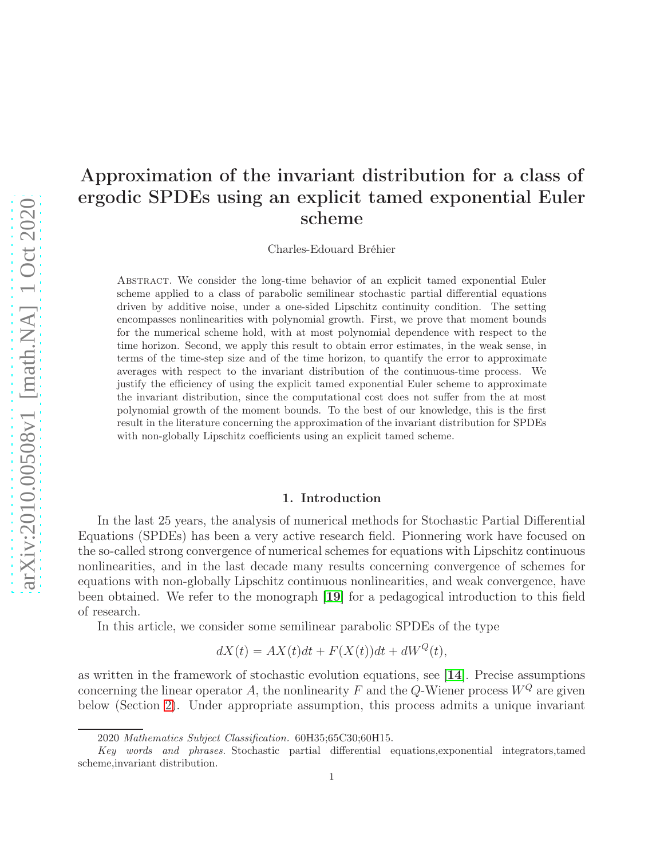# Approximation of the invariant distribution for a class of ergodic SPDEs using an explicit tamed exponential Euler scheme

Charles-Edouard Bréhier

Abstract. We consider the long-time behavior of an explicit tamed exponential Euler scheme applied to a class of parabolic semilinear stochastic partial differential equations driven by additive noise, under a one-sided Lipschitz continuity condition. The setting encompasses nonlinearities with polynomial growth. First, we prove that moment bounds for the numerical scheme hold, with at most polynomial dependence with respect to the time horizon. Second, we apply this result to obtain error estimates, in the weak sense, in terms of the time-step size and of the time horizon, to quantify the error to approximate averages with respect to the invariant distribution of the continuous-time process. We justify the efficiency of using the explicit tamed exponential Euler scheme to approximate the invariant distribution, since the computational cost does not suffer from the at most polynomial growth of the moment bounds. To the best of our knowledge, this is the first result in the literature concerning the approximation of the invariant distribution for SPDEs with non-globally Lipschitz coefficients using an explicit tamed scheme.

#### 1. Introduction

In the last 25 years, the analysis of numerical methods for Stochastic Partial Differential Equations (SPDEs) has been a very active research field. Pionnering work have focused on the so-called strong convergence of numerical schemes for equations with Lipschitz continuous nonlinearities, and in the last decade many results concerning convergence of schemes for equations with non-globally Lipschitz continuous nonlinearities, and weak convergence, have been obtained. We refer to the monograph [[19](#page-24-0)] for a pedagogical introduction to this field of research.

In this article, we consider some semilinear parabolic SPDEs of the type

$$
dX(t) = AX(t)dt + F(X(t))dt + dW^{Q}(t),
$$

as written in the framework of stochastic evolution equations, see [[14](#page-24-1)]. Precise assumptions concerning the linear operator A, the nonlinearity F and the Q-Wiener process  $W^Q$  are given below (Section [2\)](#page-2-0). Under appropriate assumption, this process admits a unique invariant

<sup>2020</sup> Mathematics Subject Classification. 60H35;65C30;60H15.

Key words and phrases. Stochastic partial differential equations,exponential integrators,tamed scheme,invariant distribution.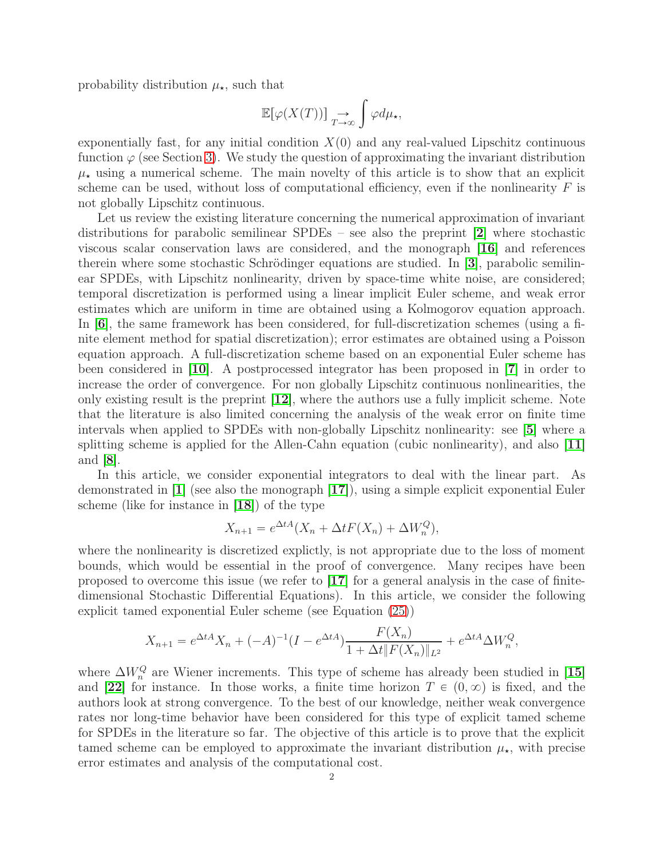probability distribution  $\mu_{\star}$ , such that

$$
\mathbb{E}[\varphi(X(T))] \underset{T \to \infty}{\to} \int \varphi d\mu_{\star},
$$

exponentially fast, for any initial condition  $X(0)$  and any real-valued Lipschitz continuous function  $\varphi$  (see Section [3\)](#page-6-0). We study the question of approximating the invariant distribution  $\mu_{\star}$  using a numerical scheme. The main novelty of this article is to show that an explicit scheme can be used, without loss of computational efficiency, even if the nonlinearity  $F$  is not globally Lipschitz continuous.

Let us review the existing literature concerning the numerical approximation of invariant distributions for parabolic semilinear SPDEs – see also the preprint [[2](#page-24-2)] where stochastic viscous scalar conservation laws are considered, and the monograph [[16](#page-24-3)] and references therein where some stochastic Schrödinger equations are studied. In [[3](#page-24-4)], parabolic semilinear SPDEs, with Lipschitz nonlinearity, driven by space-time white noise, are considered; temporal discretization is performed using a linear implicit Euler scheme, and weak error estimates which are uniform in time are obtained using a Kolmogorov equation approach. In [[6](#page-24-5)], the same framework has been considered, for full-discretization schemes (using a finite element method for spatial discretization); error estimates are obtained using a Poisson equation approach. A full-discretization scheme based on an exponential Euler scheme has been considered in [[10](#page-24-6)]. A postprocessed integrator has been proposed in [[7](#page-24-7)] in order to increase the order of convergence. For non globally Lipschitz continuous nonlinearities, the only existing result is the preprint [[12](#page-24-8)], where the authors use a fully implicit scheme. Note that the literature is also limited concerning the analysis of the weak error on finite time intervals when applied to SPDEs with non-globally Lipschitz nonlinearity: see [[5](#page-24-9)] where a splitting scheme is applied for the Allen-Cahn equation (cubic nonlinearity), and also  $[11]$  $[11]$  $[11]$ and [[8](#page-24-11)].

In this article, we consider exponential integrators to deal with the linear part. As demonstrated in [[1](#page-24-12)] (see also the monograph [[17](#page-24-13)]), using a simple explicit exponential Euler scheme (like for instance in [[18](#page-24-14)]) of the type

$$
X_{n+1} = e^{\Delta t A} (X_n + \Delta t F(X_n) + \Delta W_n^Q),
$$

where the nonlinearity is discretized explictly, is not appropriate due to the loss of moment bounds, which would be essential in the proof of convergence. Many recipes have been proposed to overcome this issue (we refer to [[17](#page-24-13)] for a general analysis in the case of finitedimensional Stochastic Differential Equations). In this article, we consider the following explicit tamed exponential Euler scheme (see Equation [\(25\)](#page-8-0))

$$
X_{n+1} = e^{\Delta t A} X_n + (-A)^{-1} (I - e^{\Delta t A}) \frac{F(X_n)}{1 + \Delta t \|F(X_n)\|_{L^2}} + e^{\Delta t A} \Delta W_n^Q,
$$

where  $\Delta W_n^Q$  are Wiener increments. This type of scheme has already been studied in [[15](#page-24-15)] and [[22](#page-25-0)] for instance. In those works, a finite time horizon  $T \in (0, \infty)$  is fixed, and the authors look at strong convergence. To the best of our knowledge, neither weak convergence rates nor long-time behavior have been considered for this type of explicit tamed scheme for SPDEs in the literature so far. The objective of this article is to prove that the explicit tamed scheme can be employed to approximate the invariant distribution  $\mu_{\star}$ , with precise error estimates and analysis of the computational cost.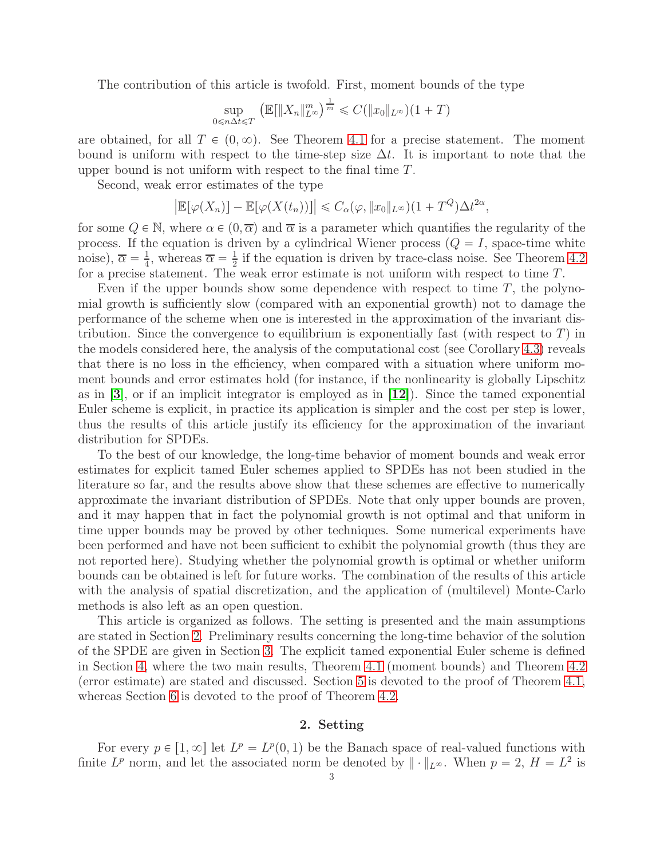The contribution of this article is twofold. First, moment bounds of the type

$$
\sup_{0 \le n \Delta t \le T} \left( \mathbb{E} \left[ \|X_n\|_{L^\infty}^m \right)^{\frac{1}{m}} \le C \left( \|x_0\|_{L^\infty} \right) (1+T)
$$

are obtained, for all  $T \in (0, \infty)$ . See Theorem [4.1](#page-9-0) for a precise statement. The moment bound is uniform with respect to the time-step size  $\Delta t$ . It is important to note that the upper bound is not uniform with respect to the final time  $T$ .

Second, weak error estimates of the type

$$
\left|\mathbb{E}[\varphi(X_n)]-\mathbb{E}[\varphi(X(t_n))]\right|\leq C_{\alpha}(\varphi,\|x_0\|_{L^{\infty}})(1+T^Q)\Delta t^{2\alpha},
$$

for some  $Q \in \mathbb{N}$ , where  $\alpha \in (0, \overline{\alpha})$  and  $\overline{\alpha}$  is a parameter which quantifies the regularity of the process. If the equation is driven by a cylindrical Wiener process  $(Q = I)$ , space-time white noise),  $\overline{\alpha} = \frac{1}{4}$  $\frac{1}{4}$ , whereas  $\overline{\alpha} = \frac{1}{2}$  $\frac{1}{2}$  if the equation is driven by trace-class noise. See Theorem [4.2](#page-9-1) for a precise statement. The weak error estimate is not uniform with respect to time T.

Even if the upper bounds show some dependence with respect to time  $T$ , the polynomial growth is sufficiently slow (compared with an exponential growth) not to damage the performance of the scheme when one is interested in the approximation of the invariant distribution. Since the convergence to equilibrium is exponentially fast (with respect to  $T$ ) in the models considered here, the analysis of the computational cost (see Corollary [4.3\)](#page-10-0) reveals that there is no loss in the efficiency, when compared with a situation where uniform moment bounds and error estimates hold (for instance, if the nonlinearity is globally Lipschitz as in  $|3|$  $|3|$  $|3|$ , or if an implicit integrator is employed as in  $|12|$  $|12|$  $|12|$ ). Since the tamed exponential Euler scheme is explicit, in practice its application is simpler and the cost per step is lower, thus the results of this article justify its efficiency for the approximation of the invariant distribution for SPDEs.

To the best of our knowledge, the long-time behavior of moment bounds and weak error estimates for explicit tamed Euler schemes applied to SPDEs has not been studied in the literature so far, and the results above show that these schemes are effective to numerically approximate the invariant distribution of SPDEs. Note that only upper bounds are proven, and it may happen that in fact the polynomial growth is not optimal and that uniform in time upper bounds may be proved by other techniques. Some numerical experiments have been performed and have not been sufficient to exhibit the polynomial growth (thus they are not reported here). Studying whether the polynomial growth is optimal or whether uniform bounds can be obtained is left for future works. The combination of the results of this article with the analysis of spatial discretization, and the application of (multilevel) Monte-Carlo methods is also left as an open question.

This article is organized as follows. The setting is presented and the main assumptions are stated in Section [2.](#page-2-0) Preliminary results concerning the long-time behavior of the solution of the SPDE are given in Section [3.](#page-6-0) The explicit tamed exponential Euler scheme is defined in Section [4,](#page-8-1) where the two main results, Theorem [4.1](#page-9-0) (moment bounds) and Theorem [4.2](#page-9-1) (error estimate) are stated and discussed. Section [5](#page-11-0) is devoted to the proof of Theorem [4.1,](#page-9-0) whereas Section [6](#page-15-0) is devoted to the proof of Theorem [4.2.](#page-9-1)

#### 2. Setting

<span id="page-2-0"></span>For every  $p \in [1, \infty]$  let  $L^p = L^p(0, 1)$  be the Banach space of real-valued functions with finite  $L^p$  norm, and let the associated norm be denoted by  $\|\cdot\|_{L^\infty}$ . When  $p=2$ ,  $H=L^2$  is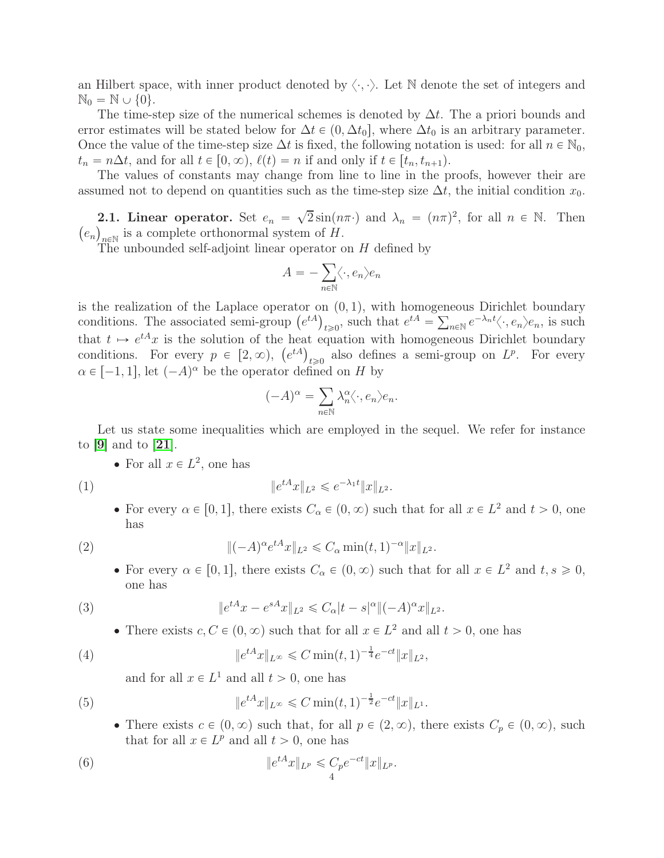an Hilbert space, with inner product denoted by  $\langle \cdot, \cdot \rangle$ . Let N denote the set of integers and  $\mathbb{N}_0 = \mathbb{N} \cup \{0\}.$ 

The time-step size of the numerical schemes is denoted by  $\Delta t$ . The a priori bounds and error estimates will be stated below for  $\Delta t \in (0, \Delta t_0]$ , where  $\Delta t_0$  is an arbitrary parameter. Once the value of the time-step size  $\Delta t$  is fixed, the following notation is used: for all  $n \in \mathbb{N}_0$ ,  $t_n = n\Delta t$ , and for all  $t \in [0, \infty)$ ,  $\ell(t) = n$  if and only if  $t \in [t_n, t_{n+1})$ .

The values of constants may change from line to line in the proofs, however their are assumed not to depend on quantities such as the time-step size  $\Delta t$ , the initial condition  $x_0$ .

**2.1. Linear operator.** Set  $e_n = \sqrt{2} \sin(n\pi \cdot)$  and  $\lambda_n = (n\pi)^2$ , for all  $n \in \mathbb{N}$ . Then  $(e_n)_{n \in \mathbb{N}}$  is a complete orthonormal system of H.

The unbounded self-adjoint linear operator on H defined by

$$
A = -\sum_{n \in \mathbb{N}} \langle \cdot, e_n \rangle e_n
$$

is the realization of the Laplace operator on  $(0, 1)$ , with homogeneous Dirichlet boundary conditions. The associated semi-group  $(e^{tA})_{t\geqslant 0}$ , such that  $e^{tA} = \sum_{n\in \mathbb{N}} e^{-\lambda_n t} \langle \cdot, e_n \rangle e_n$ , is such that  $t \mapsto e^{tA}x$  is the solution of the heat equation with homogeneous Dirichlet boundary conditions. For every  $p \in [2, \infty)$ ,  $(e^{tA})_{t \geq 0}$  also defines a semi-group on  $L^p$ . For every  $\alpha \in [-1, 1]$ , let  $(-A)^{\alpha}$  be the operator defined on H by

$$
(-A)^{\alpha} = \sum_{n \in \mathbb{N}} \lambda_n^{\alpha} \langle \cdot, e_n \rangle e_n.
$$

Let us state some inequalities which are employed in the sequel. We refer for instance to  $|9|$  $|9|$  $|9|$  and to  $|21|$  $|21|$  $|21|$ .

• For all  $x \in L^2$ , one has

$$
(1)
$$

(1) 
$$
\|e^{tA}x\|_{L^2} \leq e^{-\lambda_1 t} \|x\|_{L^2}.
$$

• For every  $\alpha \in [0, 1]$ , there exists  $C_{\alpha} \in (0, \infty)$  such that for all  $x \in L^2$  and  $t > 0$ , one has

(2) 
$$
\|(-A)^{\alpha} e^{tA} x\|_{L^2} \leq C_{\alpha} \min(t, 1)^{-\alpha} \|x\|_{L^2}.
$$

<span id="page-3-3"></span>• For every  $\alpha \in [0, 1]$ , there exists  $C_{\alpha} \in (0, \infty)$  such that for all  $x \in L^2$  and  $t, s \geq 0$ , one has

(3) 
$$
\|e^{tA}x - e^{sA}x\|_{L^2} \leq C_{\alpha}|t - s|^{\alpha} \|(-A)^{\alpha}x\|_{L^2}.
$$

<span id="page-3-2"></span>• There exists  $c, C \in (0, \infty)$  such that for all  $x \in L^2$  and all  $t > 0$ , one has

(4) 
$$
\|e^{tA}x\|_{L^{\infty}} \leq C \min(t, 1)^{-\frac{1}{4}} e^{-ct} \|x\|_{L^2},
$$

<span id="page-3-4"></span><span id="page-3-0"></span>and for all  $x \in L^1$  and all  $t > 0$ , one has

(5) 
$$
\|e^{tA}x\|_{L^{\infty}} \leq C \min(t, 1)^{-\frac{1}{2}} e^{-ct} \|x\|_{L^{1}}.
$$

<span id="page-3-1"></span>• There exists  $c \in (0, \infty)$  such that, for all  $p \in (2, \infty)$ , there exists  $C_p \in (0, \infty)$ , such that for all  $x \in L^p$  and all  $t > 0$ , one has

(6) 
$$
\|e^{tA}x\|_{L^p} \leq C_p e^{-ct} \|x\|_{L^p}.
$$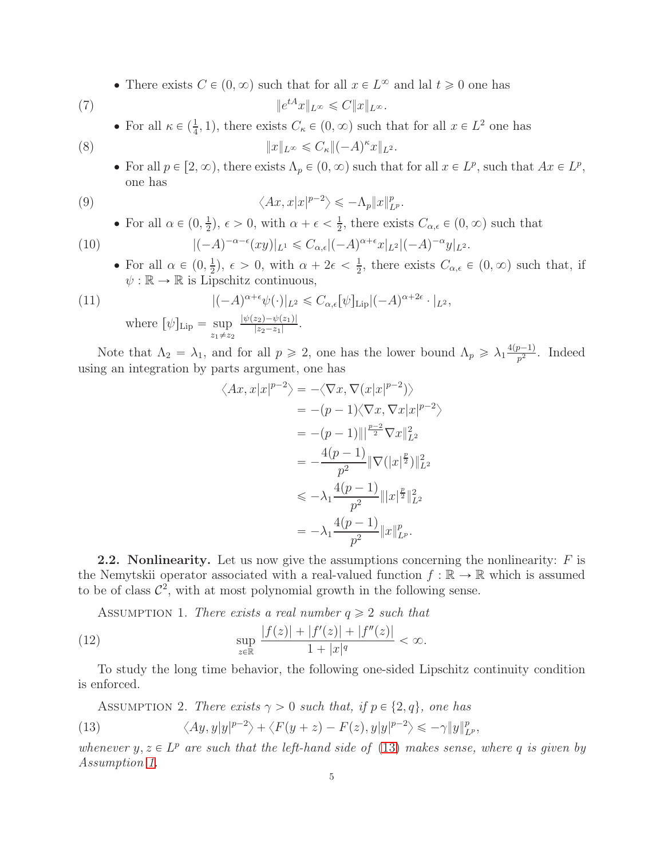• There exists  $C \in (0, \infty)$  such that for all  $x \in L^{\infty}$  and lal  $t \ge 0$  one has

$$
\parallel e
$$

• For all  $\kappa \in (\frac{1}{4}, 1)$ , there exists  $C_{\kappa} \in (0, \infty)$  such that for all  $x \in L^2$  one has

<span id="page-4-5"></span><span id="page-4-4"></span><span id="page-4-2"></span> $||e^{tA}x||_{L^{\infty}} \leq C||x||_{L^{\infty}}.$ 

(8)  $||x||_{L^{\infty}} \leq C_{\kappa} ||(-A)^{\kappa}x||_{L^{2}}.$ 

• For all  $p \in [2, \infty)$ , there exists  $\Lambda_p \in (0, \infty)$  such that for all  $x \in L^p$ , such that  $Ax \in L^p$ , one has

(9) 
$$
\langle Ax, x | x |^{p-2} \rangle \leq -\Lambda_p \|x\|_{L^p}^p.
$$

<span id="page-4-6"></span>• For all  $\alpha \in (0, \frac{1}{2})$  $(\frac{1}{2}), \epsilon > 0$ , with  $\alpha + \epsilon < \frac{1}{2}$  $\frac{1}{2}$ , there exists  $C_{\alpha,\epsilon} \in (0,\infty)$  such that

(10) 
$$
|(-A)^{-\alpha-\epsilon}(xy)|_{L^1} \leq C_{\alpha,\epsilon}|(-A)^{\alpha+\epsilon}x|_{L^2}|(-A)^{-\alpha}y|_{L^2}.
$$

• For all  $\alpha \in (0, \frac{1}{2})$  $(\frac{1}{2}), \epsilon > 0$ , with  $\alpha + 2\epsilon < \frac{1}{2}$  $\frac{1}{2}$ , there exists  $C_{\alpha,\epsilon} \in (0,\infty)$  such that, if  $\psi : \mathbb{R} \to \mathbb{R}$  is Lipschitz continuous,

(11) 
$$
|(-A)^{\alpha+\epsilon}\psi(\cdot)|_{L^2} \leq C_{\alpha,\epsilon}[\psi]_{\text{Lip}}|(-A)^{\alpha+2\epsilon} \cdot |_{L^2},
$$
  
where  $[\psi]_{\text{Lip}} = \sup_{z_1 \neq z_2} \frac{|\psi(z_2) - \psi(z_1)|}{|z_2 - z_1|}.$ 

Note that  $\Lambda_2 = \lambda_1$ , and for all  $p \ge 2$ , one has the lower bound  $\Lambda_p \ge \lambda_1 \frac{4(p-1)}{p^2}$  $\frac{p-1}{p^2}$ . Indeed using an integration by parts argument, one has

<span id="page-4-7"></span>
$$
\langle Ax, x | x |^{p-2} \rangle = -\langle \nabla x, \nabla (x | x |^{p-2}) \rangle
$$
  
\n
$$
= -(p-1) \langle \nabla x, \nabla x | x |^{p-2} \rangle
$$
  
\n
$$
= -(p-1) \| |^{p-2} \nabla x \|_{L^2}^2
$$
  
\n
$$
= -\frac{4(p-1)}{p^2} \| \nabla (|x|^{\frac{p}{2}}) \|_{L^2}^2
$$
  
\n
$$
\le -\lambda_1 \frac{4(p-1)}{p^2} \| |x|^{\frac{p}{2}} \|_{L^2}^2
$$
  
\n
$$
= -\lambda_1 \frac{4(p-1)}{p^2} \| x \|_{L^p}^p.
$$

**2.2.** Nonlinearity. Let us now give the assumptions concerning the nonlinearity:  $F$  is the Nemytskii operator associated with a real-valued function  $f : \mathbb{R} \to \mathbb{R}$  which is assumed to be of class  $\mathcal{C}^2$ , with at most polynomial growth in the following sense.

<span id="page-4-1"></span>ASSUMPTION 1. There exists a real number  $q \ge 2$  such that

(12) 
$$
\sup_{z \in \mathbb{R}} \frac{|f(z)| + |f'(z)| + |f''(z)|}{1 + |x|^q} < \infty.
$$

To study the long time behavior, the following one-sided Lipschitz continuity condition is enforced.

<span id="page-4-3"></span>Assumprion 2. There exists 
$$
\gamma > 0
$$
 such that, if  $p \in \{2, q\}$ , one has

\n(13)

\n
$$
\langle Ay, y | y |^{p-2} \rangle + \langle F(y+z) - F(z), y | y |^{p-2} \rangle \leq -\gamma \|y\|_{L^p}^p,
$$

<span id="page-4-0"></span>whenever  $y, z \in L^p$  are such that the left-hand side of [\(13\)](#page-4-0) makes sense, where q is given by Assumption [1.](#page-4-1)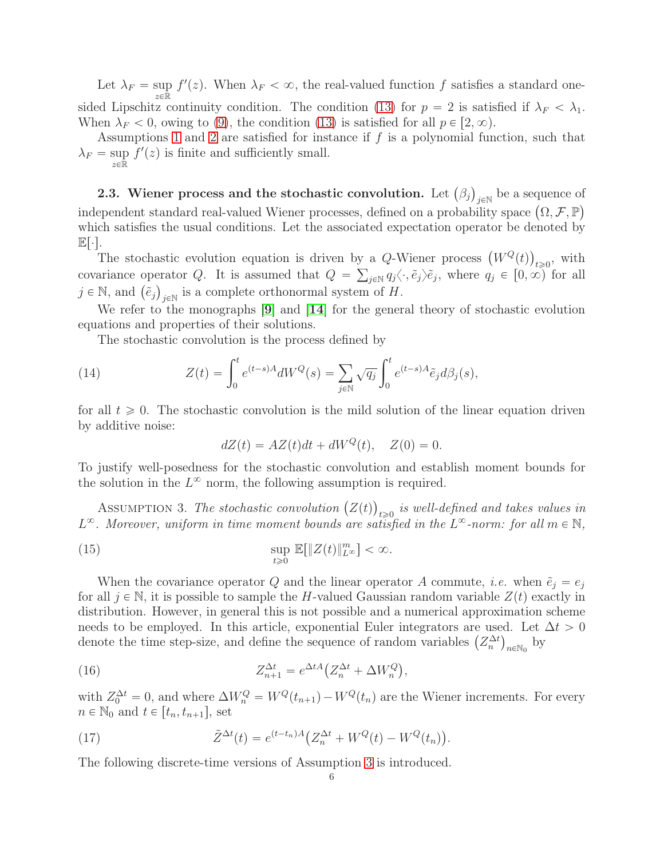Let  $\lambda_F = \sup_{x \in \mathbb{R}^m} f'(z)$ . When  $\lambda_F < \infty$ , the real-valued function f satisfies a standard one $z\in\bar{\mathbb{R}}$ sided Lipschitz continuity condition. The condition [\(13\)](#page-4-0) for  $p = 2$  is satisfied if  $\lambda_F < \lambda_1$ . When  $\lambda_F < 0$ , owing to [\(9\)](#page-4-2), the condition [\(13\)](#page-4-0) is satisfied for all  $p \in [2, \infty)$ .

Assumptions [1](#page-4-1) and [2](#page-4-3) are satisfied for instance if f is a polynomial function, such that  $\lambda_F = \sup_{x \in \mathbb{R}} f'(z)$  is finite and sufficiently small.  $z \in \mathbb{R}$ 

**2.3.** Wiener process and the stochastic convolution. Let  $(\beta_j)_{j \in \mathbb{N}}$  be a sequence of independent standard real-valued Wiener processes, defined on a probability space  $(\Omega, \mathcal{F}, \mathbb{P})$ which satisfies the usual conditions. Let the associated expectation operator be denoted by  $\mathbb{E}|\cdot|.$ 

The stochastic evolution equation is driven by a Q-Wiener process  $(W^{Q}(t))_{t\geqslant0}$ , with covariance operator Q. It is assumed that  $Q = \sum_{j \in \mathbb{N}} q_j \langle \cdot, \tilde{e}_j \rangle \tilde{e}_j$ , where  $q_j \in [0, \infty)$  for all  $j \in \mathbb{N}$ , and  $(\tilde{e}_j)_{j \in \mathbb{N}}$  is a complete orthonormal system of H.

We refer to the monographs [[9](#page-24-16)] and [[14](#page-24-1)] for the general theory of stochastic evolution equations and properties of their solutions.

The stochastic convolution is the process defined by

(14) 
$$
Z(t) = \int_0^t e^{(t-s)A} dW^Q(s) = \sum_{j \in \mathbb{N}} \sqrt{q_j} \int_0^t e^{(t-s)A} \tilde{e}_j d\beta_j(s),
$$

for all  $t \geq 0$ . The stochastic convolution is the mild solution of the linear equation driven by additive noise:

<span id="page-5-2"></span>
$$
dZ(t) = AZ(t)dt + dW^Q(t), \quad Z(0) = 0.
$$

To justify well-posedness for the stochastic convolution and establish moment bounds for the solution in the  $L^{\infty}$  norm, the following assumption is required.

<span id="page-5-0"></span>ASSUMPTION 3. The stochastic convolution  $(Z(t))_{t\geqslant0}$  is well-defined and takes values in  $L^{\infty}$ . Moreover, uniform in time moment bounds are satisfied in the  $L^{\infty}$ -norm: for all  $m \in \mathbb{N}$ ,

(15) 
$$
\sup_{t\geq 0} \mathbb{E}[\|Z(t)\|_{L^{\infty}}^m] < \infty.
$$

When the covariance operator Q and the linear operator A commute, *i.e.* when  $\tilde{e}_i = e_i$ for all  $j \in \mathbb{N}$ , it is possible to sample the H-valued Gaussian random variable  $Z(t)$  exactly in distribution. However, in general this is not possible and a numerical approximation scheme needs to be employed. In this article, exponential Euler integrators are used. Let  $\Delta t > 0$ denote the time step-size, and define the sequence of random variables  $(Z_n^{\Delta t})_{n \in \mathbb{N}_0}$  by

<span id="page-5-3"></span>(16) 
$$
Z_{n+1}^{\Delta t} = e^{\Delta t A} \left( Z_n^{\Delta t} + \Delta W_n^Q \right),
$$

with  $Z_0^{\Delta t} = 0$ , and where  $\Delta W_n^Q = W^Q(t_{n+1}) - W^Q(t_n)$  are the Wiener increments. For every  $n \in \mathbb{N}_0$  and  $t \in [t_n, t_{n+1}],$  set

<span id="page-5-1"></span>(17) 
$$
\tilde{Z}^{\Delta t}(t) = e^{(t-t_n)A} \left( Z_n^{\Delta t} + W^Q(t) - W^Q(t_n) \right).
$$

The following discrete-time versions of Assumption [3](#page-5-0) is introduced.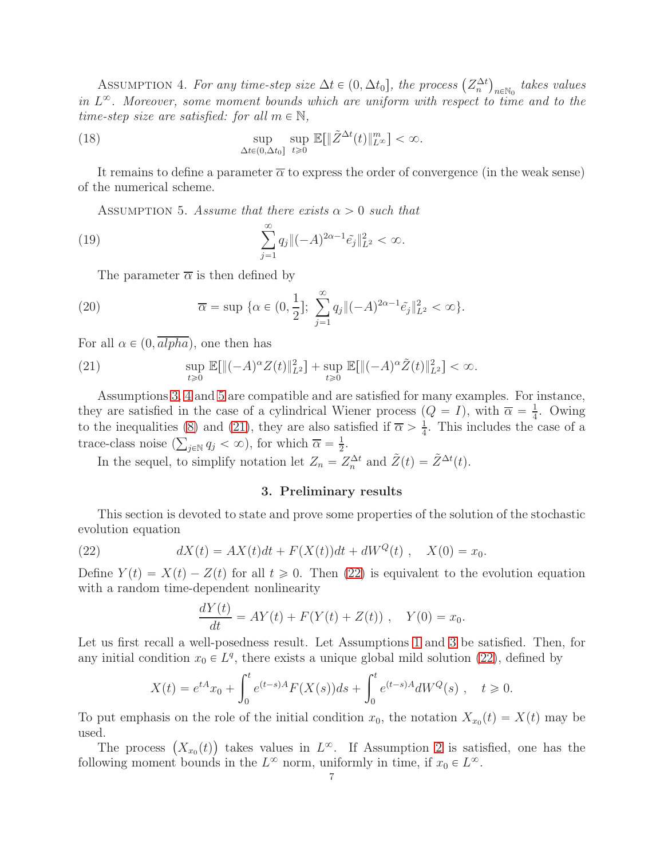<span id="page-6-1"></span>ASSUMPTION 4. For any time-step size  $\Delta t \in (0, \Delta t_0]$ , the process  $(Z_n^{\Delta t})_{n \in \mathbb{N}_0}$  takes values in  $L^{\infty}$ . Moreover, some moment bounds which are uniform with respect to time and to the time-step size are satisfied: for all  $m \in \mathbb{N}$ ,

(18) 
$$
\sup_{\Delta t \in (0,\Delta t_0]} \sup_{t \geq 0} \mathbb{E}[\|\tilde{Z}^{\Delta t}(t)\|_{L^{\infty}}^m] < \infty.
$$

It remains to define a parameter  $\bar{\alpha}$  to express the order of convergence (in the weak sense) of the numerical scheme.

<span id="page-6-2"></span>ASSUMPTION 5. Assume that there exists  $\alpha > 0$  such that

(19) 
$$
\sum_{j=1}^{\infty} q_j \|(-A)^{2\alpha-1} \tilde{e}_j\|_{L^2}^2 < \infty.
$$

<span id="page-6-5"></span>The parameter  $\bar{\alpha}$  is then defined by

(20) 
$$
\overline{\alpha} = \sup \{ \alpha \in (0, \frac{1}{2}]; \sum_{j=1}^{\infty} q_j \| (-A)^{2\alpha - 1} \tilde{e}_j \|_{L^2}^2 < \infty \}.
$$

For all  $\alpha \in (0, \overline{alpha})$ , one then has

<span id="page-6-3"></span>(21) 
$$
\sup_{t\geq 0} \mathbb{E}[\|(-A)^{\alpha} Z(t)\|_{L^2}^2] + \sup_{t\geq 0} \mathbb{E}[\|(-A)^{\alpha} \tilde{Z}(t)\|_{L^2}^2] < \infty.
$$

Assumptions [3,](#page-5-0) [4](#page-6-1) and [5](#page-6-2) are compatible and are satisfied for many examples. For instance, they are satisfied in the case of a cylindrical Wiener process  $(Q = I)$ , with  $\overline{\alpha} = \frac{1}{4}$  $\frac{1}{4}$ . Owing to the inequalities [\(8\)](#page-4-4) and [\(21\)](#page-6-3), they are also satisfied if  $\overline{\alpha} > \frac{1}{4}$  $\frac{1}{4}$ . This includes the case of a trace-class noise  $(\sum_{j\in\mathbb{N}}q_j<\infty)$ , for which  $\overline{\alpha}=\frac{1}{2}$  $rac{1}{2}$ .

<span id="page-6-0"></span>In the sequel, to simplify notation let  $Z_n = Z_n^{\Delta t}$  and  $\tilde{Z}(t) = \tilde{Z}^{\Delta t}(t)$ .

# 3. Preliminary results

This section is devoted to state and prove some properties of the solution of the stochastic evolution equation

(22) 
$$
dX(t) = AX(t)dt + F(X(t))dt + dW^{Q}(t), X(0) = x_0.
$$

Define  $Y(t) = X(t) - Z(t)$  for all  $t \geq 0$ . Then [\(22\)](#page-6-4) is equivalent to the evolution equation with a random time-dependent nonlinearity

<span id="page-6-4"></span>
$$
\frac{dY(t)}{dt} = AY(t) + F(Y(t) + Z(t)), \quad Y(0) = x_0.
$$

Let us first recall a well-posedness result. Let Assumptions [1](#page-4-1) and [3](#page-5-0) be satisfied. Then, for any initial condition  $x_0 \in L^q$ , there exists a unique global mild solution [\(22\)](#page-6-4), defined by

$$
X(t) = e^{tA}x_0 + \int_0^t e^{(t-s)A} F(X(s))ds + \int_0^t e^{(t-s)A} dW^Q(s) , \quad t \ge 0.
$$

To put emphasis on the role of the initial condition  $x_0$ , the notation  $X_{x_0}(t) = X(t)$  may be used.

The process  $(X_{x_0}(t))$  takes values in  $L^{\infty}$ . If Assumption [2](#page-4-3) is satisfied, one has the following moment bounds in the  $L^{\infty}$  norm, uniformly in time, if  $x_0 \in L^{\infty}$ .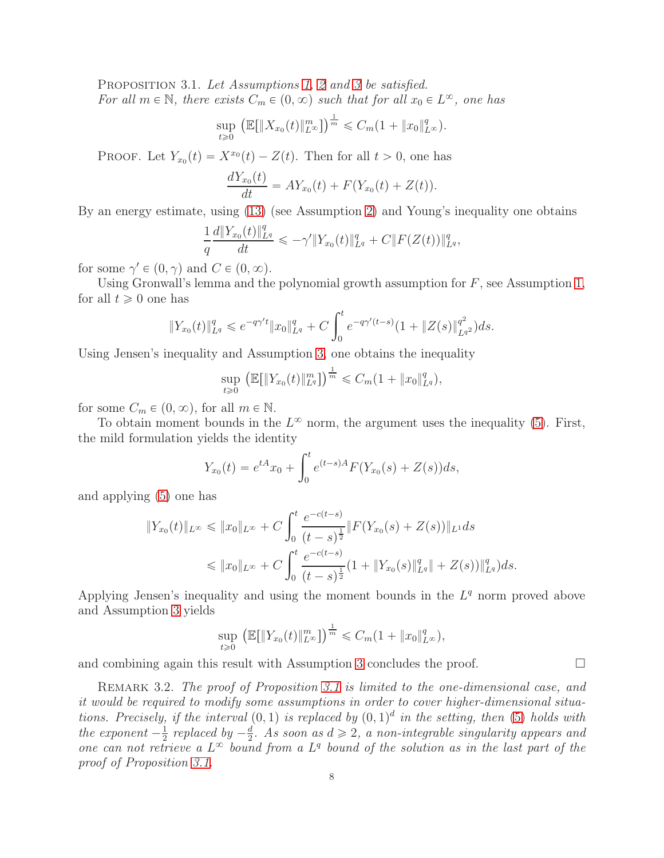<span id="page-7-0"></span>PROPOSITION 3.1. Let Assumptions [1,](#page-4-1) [2](#page-4-3) and [3](#page-5-0) be satisfied. For all  $m \in \mathbb{N}$ , there exists  $C_m \in (0, \infty)$  such that for all  $x_0 \in L^{\infty}$ , one has

$$
\sup_{t \geq 0} \left( \mathbb{E}[\|X_{x_0}(t)\|_{L^{\infty}}^m] \right)^{\frac{1}{m}} \leq C_m (1 + \|x_0\|_{L^{\infty}}^q).
$$

PROOF. Let  $Y_{x_0}(t) = X^{x_0}(t) - Z(t)$ . Then for all  $t > 0$ , one has

$$
\frac{dY_{x_0}(t)}{dt} = AY_{x_0}(t) + F(Y_{x_0}(t) + Z(t)).
$$

By an energy estimate, using [\(13\)](#page-4-0) (see Assumption [2\)](#page-4-3) and Young's inequality one obtains

$$
\frac{1}{q}\frac{d\|Y_{x_0}(t)\|_{L^q}^q}{dt} \leqslant -\gamma' \|Y_{x_0}(t)\|_{L^q}^q + C\|F(Z(t))\|_{L^q}^q,
$$

for some  $\gamma' \in (0, \gamma)$  and  $C \in (0, \infty)$ .

Using Gronwall's lemma and the polynomial growth assumption for  $F$ , see Assumption [1,](#page-4-1) for all  $t \geq 0$  one has

$$
||Y_{x_0}(t)||_{L^q}^q \leq e^{-q\gamma' t} ||x_0||_{L^q}^q + C \int_0^t e^{-q\gamma'(t-s)} (1 + ||Z(s)||_{L^q}^{q^2}) ds.
$$

Using Jensen's inequality and Assumption [3,](#page-5-0) one obtains the inequality

$$
\sup_{t\geq 0} \left( \mathbb{E}[\|Y_{x_0}(t)\|_{L^q}^m] \right)^{\frac{1}{m}} \leq C_m (1 + \|x_0\|_{L^q}^q),
$$

for some  $C_m \in (0, \infty)$ , for all  $m \in \mathbb{N}$ .

To obtain moment bounds in the  $L^{\infty}$  norm, the argument uses the inequality [\(5\)](#page-3-0). First, the mild formulation yields the identity

$$
Y_{x_0}(t) = e^{tA}x_0 + \int_0^t e^{(t-s)A} F(Y_{x_0}(s) + Z(s))ds,
$$

and applying [\(5\)](#page-3-0) one has

$$
||Y_{x_0}(t)||_{L^{\infty}} \le ||x_0||_{L^{\infty}} + C \int_0^t \frac{e^{-c(t-s)}}{(t-s)^{\frac{1}{2}}} ||F(Y_{x_0}(s) + Z(s))||_{L^1} ds
$$
  

$$
\le ||x_0||_{L^{\infty}} + C \int_0^t \frac{e^{-c(t-s)}}{(t-s)^{\frac{1}{2}}} (1 + ||Y_{x_0}(s)||_{L^q}^q || + Z(s))||_{L^q}^q ds.
$$

Applying Jensen's inequality and using the moment bounds in the  $L<sup>q</sup>$  norm proved above and Assumption [3](#page-5-0) yields

$$
\sup_{t \geq 0} \left( \mathbb{E} \left[ \|Y_{x_0}(t)\|_{L^{\infty}}^m \right] \right)^{\frac{1}{m}} \leq C_m (1 + \|x_0\|_{L^{\infty}}^q),
$$

and combining again this result with Assumption [3](#page-5-0) concludes the proof.  $\Box$ 

REMARK 3.2. The proof of Proposition [3.1](#page-7-0) is limited to the one-dimensional case, and it would be required to modify some assumptions in order to cover higher-dimensional situations. Precisely, if the interval  $(0, 1)$  is replaced by  $(0, 1)^d$  in the setting, then [\(5\)](#page-3-0) holds with the exponent  $-\frac{1}{2}$  $rac{1}{2}$  replaced by  $-\frac{d}{2}$  $\frac{d}{2}$ . As soon as  $d \geq 2$ , a non-integrable singularity appears and one can not retrieve a  $L^{\infty}$  bound from a  $L^q$  bound of the solution as in the last part of the proof of Proposition [3.1.](#page-7-0)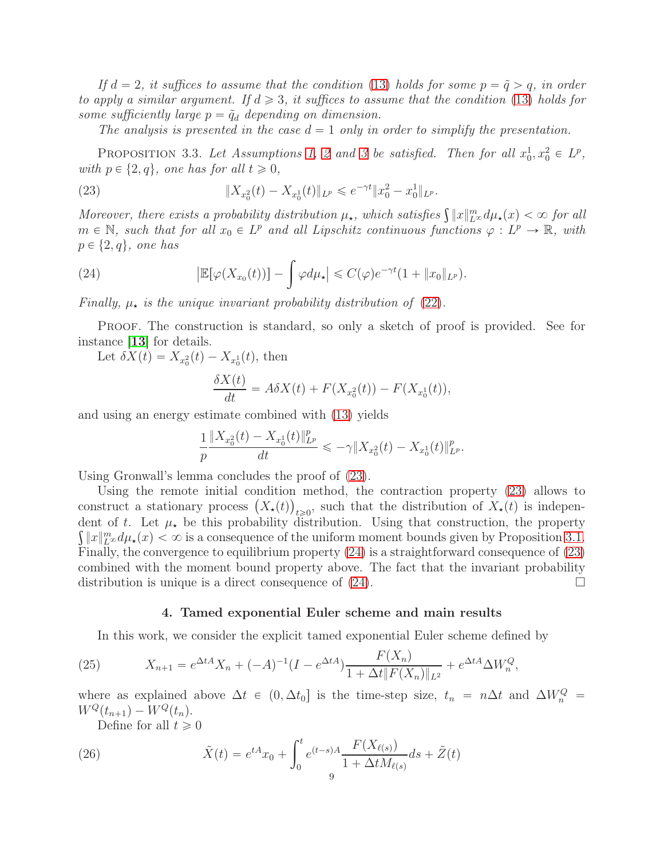If  $d = 2$ , it suffices to assume that the condition [\(13\)](#page-4-0) holds for some  $p = \tilde{q} > q$ , in order to apply a similar argument. If  $d \geqslant 3$ , it suffices to assume that the condition [\(13\)](#page-4-0) holds for some sufficiently large  $p = \tilde{q}_d$  depending on dimension.

<span id="page-8-2"></span>The analysis is presented in the case  $d = 1$  only in order to simplify the presentation.

PROPOSITION 3.3. Let Assumptions [1,](#page-4-1) [2](#page-4-3) and [3](#page-5-0) be satisfied. Then for all  $x_0^1, x_0^2 \in L^p$ , with  $p \in \{2, q\}$ , one has for all  $t \geq 0$ ,

(23) 
$$
\|X_{x_0^2}(t) - X_{x_0^1}(t)\|_{L^p} \leqslant e^{-\gamma t} \|x_0^2 - x_0^1\|_{L^p}.
$$

Moreover, there exists a probability distribution  $\mu_{\star}$ , which satisfies  $\int ||x||_{L^{\infty}}^{m} d\mu_{\star}(x) < \infty$  for all  $m \in \mathbb{N}$ , such that for all  $x_0 \in L^p$  and all Lipschitz continuous functions  $\varphi : L^p \to \mathbb{R}$ , with  $p \in \{2, q\}$ , one has

(24) 
$$
\left|\mathbb{E}[\varphi(X_{x_0}(t))] - \int \varphi d\mu_\star\right| \leqslant C(\varphi)e^{-\gamma t}(1+\|x_0\|_{L^p}).
$$

Finally,  $\mu_{\star}$  is the unique invariant probability distribution of [\(22\)](#page-6-4).

PROOF. The construction is standard, so only a sketch of proof is provided. See for instance [[13](#page-24-17)] for details.

Let  $\delta X(t) = X_{x_0^2}(t) - X_{x_0^1}(t)$ , then

<span id="page-8-3"></span>
$$
\frac{\delta X(t)}{dt} = A\delta X(t) + F(X_{x_0^2}(t)) - F(X_{x_0^1}(t)),
$$

and using an energy estimate combined with [\(13\)](#page-4-0) yields

$$
\frac{1}{p} \frac{\|X_{x_0^2}(t) - X_{x_0^1}(t)\|_{L^p}^p}{dt} \leqslant -\gamma \|X_{x_0^2}(t) - X_{x_0^1}(t)\|_{L^p}^p.
$$

Using Gronwall's lemma concludes the proof of [\(23\)](#page-8-2).

Using the remote initial condition method, the contraction property [\(23\)](#page-8-2) allows to construct a stationary process  $(X_*(t))_{t\geqslant0}$ , such that the distribution of  $X_*(t)$  is independent of t. Let  $\mu_{\star}$  be this probability distribution. Using that construction, the property  $\int ||x||_{L^{\infty}}^m d\mu_{\star}(x) < \infty$  is a consequence of the uniform moment bounds given by Proposition [3.1.](#page-7-0) Finally, the convergence to equilibrium property [\(24\)](#page-8-3) is a straightforward consequence of [\(23\)](#page-8-2) combined with the moment bound property above. The fact that the invariant probability distribution is unique is a direct consequence of  $(24)$ .

#### <span id="page-8-0"></span>4. Tamed exponential Euler scheme and main results

<span id="page-8-1"></span>In this work, we consider the explicit tamed exponential Euler scheme defined by

(25) 
$$
X_{n+1} = e^{\Delta t A} X_n + (-A)^{-1} (I - e^{\Delta t A}) \frac{F(X_n)}{1 + \Delta t \|F(X_n)\|_{L^2}} + e^{\Delta t A} \Delta W_n^Q,
$$

where as explained above  $\Delta t \in (0, \Delta t_0]$  is the time-step size,  $t_n = n\Delta t$  and  $\Delta W_n^Q =$  $W^Q(t_{n+1}) - W^Q(t_n).$ 

<span id="page-8-4"></span>Define for all  $t \geq 0$ 

(26) 
$$
\tilde{X}(t) = e^{tA}x_0 + \int_0^t e^{(t-s)A} \frac{F(X_{\ell(s)})}{1 + \Delta t M_{\ell(s)}} ds + \tilde{Z}(t)
$$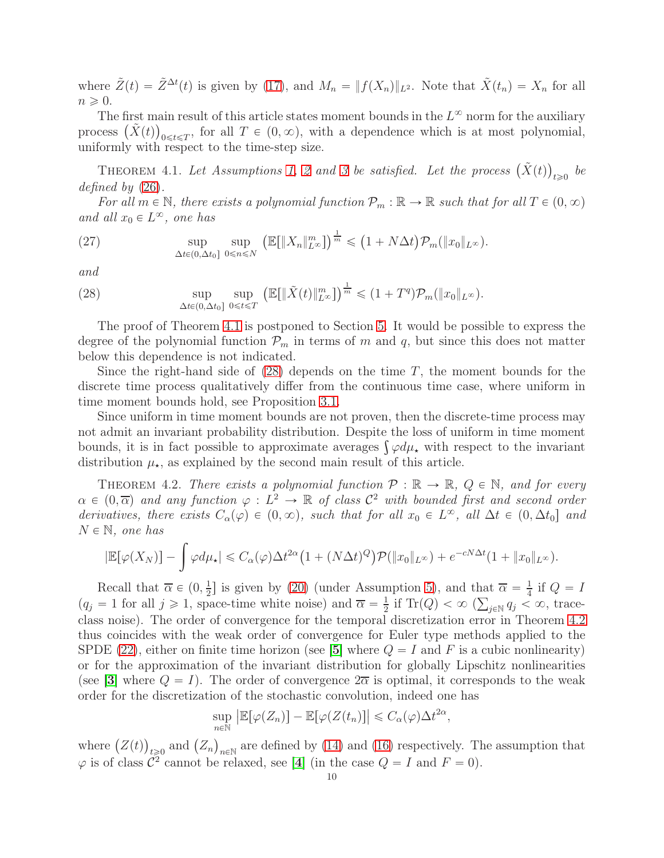where  $\tilde{Z}(t) = \tilde{Z}^{\Delta t}(t)$  is given by [\(17\)](#page-5-1), and  $M_n = ||f(X_n)||_{L^2}$ . Note that  $\tilde{X}(t_n) = X_n$  for all  $n \geqslant 0$ .

The first main result of this article states moment bounds in the  $L^{\infty}$  norm for the auxiliary process  $(\tilde{X}(t))_{0\leq t\leq T}$ , for all  $T \in (0,\infty)$ , with a dependence which is at most polynomial, uniformly with respect to the time-step size.

<span id="page-9-0"></span>THEOREM 4.1. Let Assumptions [1,](#page-4-1) [2](#page-4-3) and [3](#page-5-0) be satisfied. Let the process  $(\tilde{X}(t))_{t \geqslant 0}$  be defined by  $(26)$ .

For all  $m \in \mathbb{N}$ , there exists a polynomial function  $\mathcal{P}_m : \mathbb{R} \to \mathbb{R}$  such that for all  $T \in (0, \infty)$ and all  $x_0 \in L^{\infty}$ , one has

<span id="page-9-3"></span>(27) 
$$
\sup_{\Delta t \in (0,\Delta t_0]} \sup_{0 \le n \le N} \left( \mathbb{E}[\|X_n\|_{L^\infty}^m] \right)^{\frac{1}{m}} \le (1 + N\Delta t) \mathcal{P}_m(\|x_0\|_{L^\infty}).
$$

and

<span id="page-9-2"></span>(28) 
$$
\sup_{\Delta t \in (0,\Delta t_0]} \sup_{0 \leq t \leq T} \left( \mathbb{E}[\|\tilde{X}(t)\|_{L^{\infty}}^m] \right)^{\frac{1}{m}} \leq (1+T^q)\mathcal{P}_m(\|x_0\|_{L^{\infty}}).
$$

The proof of Theorem [4.1](#page-9-0) is postponed to Section [5.](#page-11-0) It would be possible to express the degree of the polynomial function  $\mathcal{P}_m$  in terms of m and q, but since this does not matter below this dependence is not indicated.

Since the right-hand side of  $(28)$  depends on the time T, the moment bounds for the discrete time process qualitatively differ from the continuous time case, where uniform in time moment bounds hold, see Proposition [3.1.](#page-7-0)

Since uniform in time moment bounds are not proven, then the discrete-time process may not admit an invariant probability distribution. Despite the loss of uniform in time moment bounds, it is in fact possible to approximate averages  $\int \varphi d\mu_{\star}$  with respect to the invariant distribution  $\mu_{\star}$ , as explained by the second main result of this article.

<span id="page-9-1"></span>THEOREM 4.2. There exists a polynomial function  $\mathcal{P}: \mathbb{R} \to \mathbb{R}$ ,  $Q \in \mathbb{N}$ , and for every  $\alpha \in (0, \overline{\alpha})$  and any function  $\varphi : L^2 \to \mathbb{R}$  of class  $\mathcal{C}^2$  with bounded first and second order derivatives, there exists  $C_{\alpha}(\varphi) \in (0, \infty)$ , such that for all  $x_0 \in L^{\infty}$ , all  $\Delta t \in (0, \Delta t_0]$  and  $N \in \mathbb{N}$ , one has

$$
|\mathbb{E}[\varphi(X_N)] - \int \varphi d\mu_{\star}| \leq C_{\alpha}(\varphi) \Delta t^{2\alpha} \left(1 + (N\Delta t)^Q\right) \mathcal{P}(\|x_0\|_{L^{\infty}}) + e^{-cN\Delta t} (1 + \|x_0\|_{L^{\infty}}).
$$

Recall that  $\overline{\alpha} \in (0, \frac{1}{2})$  $\frac{1}{2}$ ] is given by [\(20\)](#page-6-5) (under Assumption [5\)](#page-6-2), and that  $\overline{\alpha} = \frac{1}{4}$  $\frac{1}{4}$  if  $Q = I$  $(q_j = 1 \text{ for all } j \geq 1, \text{ space-time white noise}) \text{ and } \overline{\alpha} = \frac{1}{2}$  $\frac{1}{2}$  if Tr(Q)  $<\infty$  ( $\sum_{j\in\mathbb{N}}q_j<\infty$ , traceclass noise). The order of convergence for the temporal discretization error in Theorem [4.2](#page-9-1) thus coincides with the weak order of convergence for Euler type methods applied to the SPDE [\(22\)](#page-6-4), either on finite time horizon (see [[5](#page-24-9)] where  $Q = I$  and F is a cubic nonlinearity) or for the approximation of the invariant distribution for globally Lipschitz nonlinearities (see [[3](#page-24-4)] where  $Q = I$ ). The order of convergence  $2\overline{\alpha}$  is optimal, it corresponds to the weak order for the discretization of the stochastic convolution, indeed one has

$$
\sup_{n\in\mathbb{N}}\left|\mathbb{E}[\varphi(Z_n)]-\mathbb{E}[\varphi(Z(t_n)]\right|\leqslant C_{\alpha}(\varphi)\Delta t^{2\alpha},
$$

where  $(Z(t))_{t\geqslant0}$  and  $(Z_n)_{n\in\mathbb{N}}$  are defined by [\(14\)](#page-5-2) and [\(16\)](#page-5-3) respectively. The assumption that  $\varphi$  is of class  $\mathcal{C}^2$  cannot be relaxed, see [[4](#page-24-18)] (in the case  $Q = I$  and  $F = 0$ ).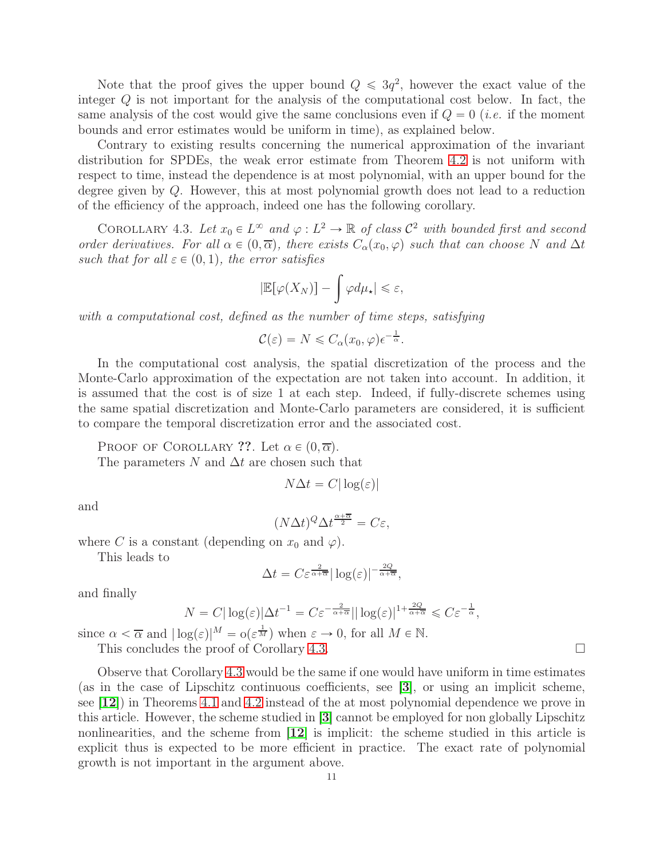Note that the proof gives the upper bound  $Q \leq 3q^2$ , however the exact value of the integer Q is not important for the analysis of the computational cost below. In fact, the same analysis of the cost would give the same conclusions even if  $Q = 0$  (*i.e.* if the moment bounds and error estimates would be uniform in time), as explained below.

Contrary to existing results concerning the numerical approximation of the invariant distribution for SPDEs, the weak error estimate from Theorem [4.2](#page-9-1) is not uniform with respect to time, instead the dependence is at most polynomial, with an upper bound for the degree given by Q. However, this at most polynomial growth does not lead to a reduction of the efficiency of the approach, indeed one has the following corollary.

<span id="page-10-0"></span>COROLLARY 4.3. Let  $x_0 \in L^{\infty}$  and  $\varphi : L^2 \to \mathbb{R}$  of class  $\mathcal{C}^2$  with bounded first and second order derivatives. For all  $\alpha \in (0, \overline{\alpha})$ , there exists  $C_{\alpha}(x_0, \varphi)$  such that can choose N and  $\Delta t$ such that for all  $\varepsilon \in (0, 1)$ , the error satisfies

$$
|\mathbb{E}[\varphi(X_N)] - \int \varphi d\mu_\star| \leq \varepsilon,
$$

with a computational cost, defined as the number of time steps, satisfying

$$
\mathcal{C}(\varepsilon) = N \leq C_{\alpha}(x_0, \varphi) \epsilon^{-\frac{1}{\alpha}}.
$$

In the computational cost analysis, the spatial discretization of the process and the Monte-Carlo approximation of the expectation are not taken into account. In addition, it is assumed that the cost is of size 1 at each step. Indeed, if fully-discrete schemes using the same spatial discretization and Monte-Carlo parameters are considered, it is sufficient to compare the temporal discretization error and the associated cost.

PROOF OF COROLLARY ??. Let  $\alpha \in (0, \overline{\alpha})$ .

The parameters N and  $\Delta t$  are chosen such that

$$
N\Delta t = C|\log(\varepsilon)|
$$

and

$$
(N\Delta t)^{Q} \Delta t^{\frac{\alpha + \overline{\alpha}}{2}} = C\varepsilon,
$$

where C is a constant (depending on  $x_0$  and  $\varphi$ ).

This leads to

$$
\Delta t = C \varepsilon^{\frac{2}{\alpha + \overline{\alpha}}} |\log(\varepsilon)|^{-\frac{2Q}{\alpha + \overline{\alpha}}},
$$

and finally

$$
N = C|\log(\varepsilon)|\Delta t^{-1} = C\varepsilon^{-\frac{2}{\alpha+\overline{\alpha}}}||\log(\varepsilon)|^{1+\frac{2Q}{\alpha+\overline{\alpha}}} \leqslant C\varepsilon^{-\frac{1}{\alpha}},
$$

since  $\alpha < \overline{\alpha}$  and  $|\log(\varepsilon)|^M = o(\varepsilon^{\frac{1}{M}})$  when  $\varepsilon \to 0$ , for all  $M \in \mathbb{N}$ .

This concludes the proof of Corollary [4.3.](#page-10-0)

Observe that Corollary [4.3](#page-10-0) would be the same if one would have uniform in time estimates (as in the case of Lipschitz continuous coefficients, see [[3](#page-24-4)], or using an implicit scheme, see [[12](#page-24-8)]) in Theorems [4.1](#page-9-0) and [4.2](#page-9-1) instead of the at most polynomial dependence we prove in this article. However, the scheme studied in [[3](#page-24-4)] cannot be employed for non globally Lipschitz nonlinearities, and the scheme from [[12](#page-24-8)] is implicit: the scheme studied in this article is explicit thus is expected to be more efficient in practice. The exact rate of polynomial growth is not important in the argument above.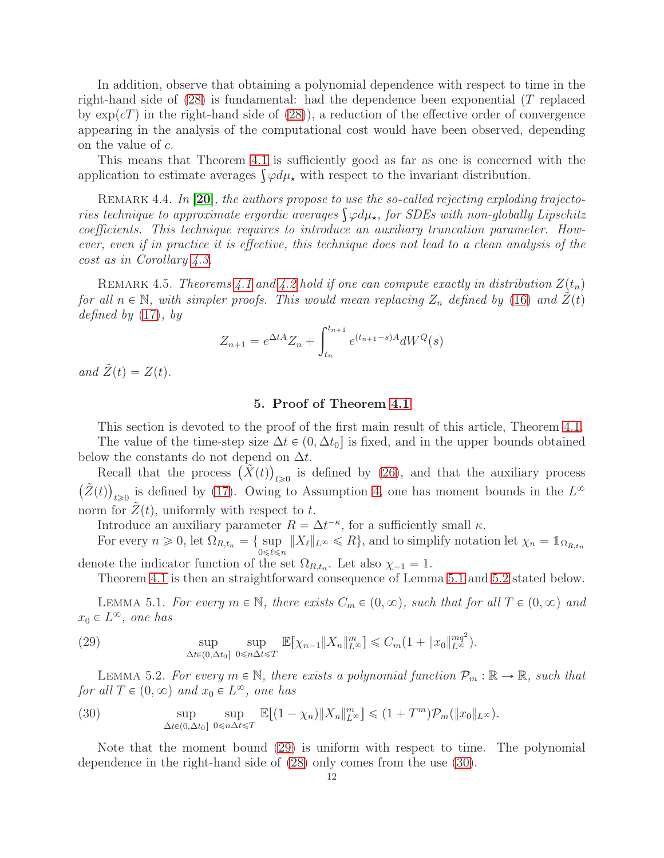In addition, observe that obtaining a polynomial dependence with respect to time in the right-hand side of  $(28)$  is fundamental: had the dependence been exponential  $(T$  replaced by  $\exp(cT)$  in the right-hand side of [\(28\)](#page-9-2)), a reduction of the effective order of convergence appearing in the analysis of the computational cost would have been observed, depending on the value of c.

This means that Theorem [4.1](#page-9-0) is sufficiently good as far as one is concerned with the application to estimate averages  $\int \varphi d\mu_{\star}$  with respect to the invariant distribution.

REMARK 4.4. In [[20](#page-25-2)], the authors propose to use the so-called rejecting exploding trajectories technique to approximate ergordic averages  $\int \varphi d\mu_{\star}$ , for SDEs with non-globally Lipschitz coefficients. This technique requires to introduce an auxiliary truncation parameter. However, even if in practice it is effective, this technique does not lead to a clean analysis of the cost as in Corollary [4.3.](#page-10-0)

REMARK 4.5. Theorems [4.1](#page-9-0) and [4.2](#page-9-1) hold if one can compute exactly in distribution  $Z(t_n)$ for all  $n \in \mathbb{N}$ , with simpler proofs. This would mean replacing  $Z_n$  defined by [\(16\)](#page-5-3) and  $Z(t)$ defined by  $(17)$ , by

$$
Z_{n+1} = e^{\Delta t A} Z_n + \int_{t_n}^{t_{n+1}} e^{(t_{n+1} - s)A} dW^Q(s)
$$

<span id="page-11-0"></span>and  $\tilde{Z}(t) = Z(t)$ .

# 5. Proof of Theorem [4.1](#page-9-0)

This section is devoted to the proof of the first main result of this article, Theorem [4.1.](#page-9-0) The value of the time-step size  $\Delta t \in (0, \Delta t_0]$  is fixed, and in the upper bounds obtained below the constants do not depend on  $\Delta t$ .

Recall that the process  $(\tilde{X}(t))_{t\geqslant0}$  is defined by [\(26\)](#page-8-4), and that the auxiliary process  $(\tilde{Z}(t))_{t\geqslant0}$  is defined by [\(17\)](#page-5-1). Owing to Assumption [4,](#page-6-1) one has moment bounds in the  $L^{\infty}$ norm for  $Z(t)$ , uniformly with respect to t.

Introduce an auxiliary parameter  $R = \Delta t^{-\kappa}$ , for a sufficiently small  $\kappa$ .

For every  $n \ge 0$ , let  $\Omega_{R,t_n} = \{ \sup_{0 \le \ell \le n} ||X_{\ell}||_{L^{\infty}} \le R \}$ , and to simplify notation let  $\chi_n = \mathbb{1}_{\Omega_{R,t_n}}$ denote the indicator function of the set  $\Omega_{R,t_n}$ . Let also  $\chi_{-1} = 1$ .

Theorem [4.1](#page-9-0) is then an straightforward consequence of Lemma [5.1](#page-11-1) and [5.2](#page-11-2) stated below.

<span id="page-11-1"></span>LEMMA 5.1. For every  $m \in \mathbb{N}$ , there exists  $C_m \in (0, \infty)$ , such that for all  $T \in (0, \infty)$  and  $x_0 \in L^{\infty}$ , one has

<span id="page-11-3"></span>(29) 
$$
\sup_{\Delta t \in (0,\Delta t_0]} \sup_{0 \leq n\Delta t \leq T} \mathbb{E}[\chi_{n-1} \|X_n\|_{L^\infty}^m] \leq C_m (1 + \|x_0\|_{L^\infty}^{mq^2}).
$$

<span id="page-11-2"></span>LEMMA 5.2. For every  $m \in \mathbb{N}$ , there exists a polynomial function  $\mathcal{P}_m : \mathbb{R} \to \mathbb{R}$ , such that for all  $T \in (0, \infty)$  and  $x_0 \in L^{\infty}$ , one has

<span id="page-11-4"></span>(30) 
$$
\sup_{\Delta t \in (0,\Delta t_0]} \sup_{0 \leq n\Delta t \leq T} \mathbb{E}[(1-\chi_n) \|X_n\|_{L^\infty}^m] \leq (1+T^m)\mathcal{P}_m(\|x_0\|_{L^\infty}).
$$

Note that the moment bound [\(29\)](#page-11-3) is uniform with respect to time. The polynomial dependence in the right-hand side of [\(28\)](#page-9-2) only comes from the use [\(30\)](#page-11-4).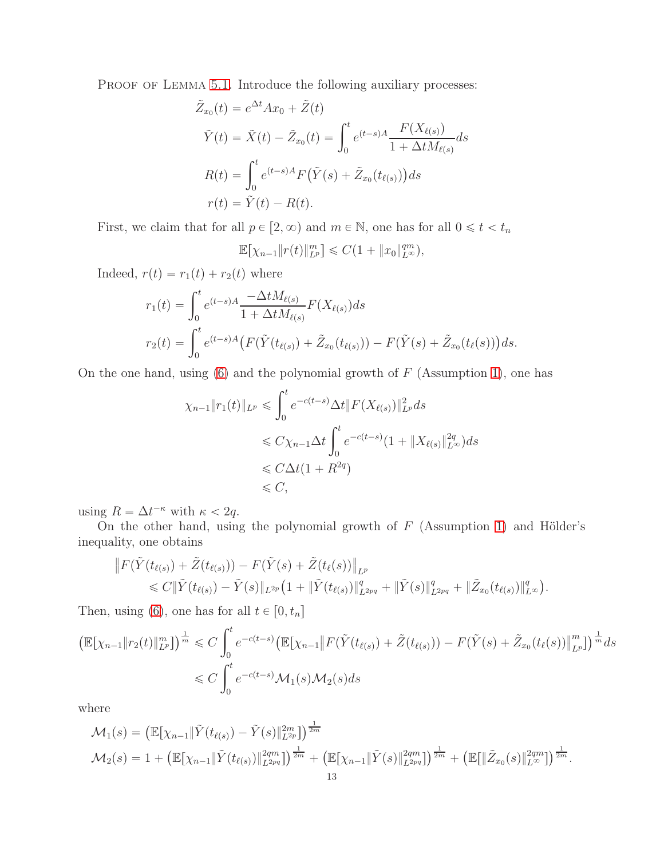PROOF OF LEMMA [5.1.](#page-11-1) Introduce the following auxiliary processes:

$$
\tilde{Z}_{x_0}(t) = e^{\Delta t} A x_0 + \tilde{Z}(t)
$$
\n
$$
\tilde{Y}(t) = \tilde{X}(t) - \tilde{Z}_{x_0}(t) = \int_0^t e^{(t-s)A} \frac{F(X_{\ell(s)})}{1 + \Delta t M_{\ell(s)}} ds
$$
\n
$$
R(t) = \int_0^t e^{(t-s)A} F(\tilde{Y}(s) + \tilde{Z}_{x_0}(t_{\ell(s)})) ds
$$
\n
$$
r(t) = \tilde{Y}(t) - R(t).
$$

First, we claim that for all  $p \in [2, \infty)$  and  $m \in \mathbb{N}$ , one has for all  $0 \leq t < t_n$ 

$$
\mathbb{E}[\chi_{n-1}||r(t)||_{L^p}^m] \leq C(1 + ||x_0||_{L^\infty}^{qm}),
$$

Indeed,  $r(t) = r_1(t) + r_2(t)$  where

$$
r_1(t) = \int_0^t e^{(t-s)A} \frac{-\Delta t M_{\ell(s)}}{1 + \Delta t M_{\ell(s)}} F(X_{\ell(s)}) ds
$$
  

$$
r_2(t) = \int_0^t e^{(t-s)A} \left( F(\tilde{Y}(t_{\ell(s)}) + \tilde{Z}_{x_0}(t_{\ell(s)})) - F(\tilde{Y}(s) + \tilde{Z}_{x_0}(t_{\ell}(s)) \right) ds.
$$

On the one hand, using  $(6)$  and the polynomial growth of F (Assumption [1\)](#page-4-1), one has

$$
\chi_{n-1} \|r_1(t)\|_{L^p} \leq \int_0^t e^{-c(t-s)} \Delta t \|F(X_{\ell(s)})\|_{L^p}^2 ds
$$
  
\n
$$
\leq C \chi_{n-1} \Delta t \int_0^t e^{-c(t-s)} (1 + \|X_{\ell(s)}\|_{L^\infty}^{2q}) ds
$$
  
\n
$$
\leq C \Delta t (1 + R^{2q})
$$
  
\n
$$
\leq C,
$$

using  $R = \Delta t^{-\kappa}$  with  $\kappa < 2q$ .

On the other hand, using the polynomial growth of  $F$  (Assumption [1\)](#page-4-1) and Hölder's inequality, one obtains

$$
\|F(\tilde{Y}(t_{\ell(s)})+\tilde{Z}(t_{\ell(s)})) - F(\tilde{Y}(s)+\tilde{Z}(t_{\ell}(s))\|_{L^p} \leq C \|\tilde{Y}(t_{\ell(s)})-\tilde{Y}(s)\|_{L^{2p}}\left(1+\|\tilde{Y}(t_{\ell(s)})\|_{L^{2pq}}^q+\|\tilde{Y}(s)\|_{L^{2pq}}^q+\|\tilde{Z}_{x_0}(t_{\ell(s)})\|_{L^{\infty}}^q\right).
$$

Then, using [\(6\)](#page-3-1), one has for all  $t \in [0, t_n]$ 

$$
\begin{aligned} \left( \mathbb{E}[\chi_{n-1} \| r_2(t) \|_{L^p}^m] \right)^{\frac{1}{m}} &\leq C \int_0^t e^{-c(t-s)} \left( \mathbb{E}[\chi_{n-1} \| F(\tilde{Y}(t_{\ell(s)}) + \tilde{Z}(t_{\ell(s)})) - F(\tilde{Y}(s) + \tilde{Z}_{x_0}(t_{\ell}(s)) \|_{L^p}^m] \right)^{\frac{1}{m}} ds \\ &\leq C \int_0^t e^{-c(t-s)} \mathcal{M}_1(s) \mathcal{M}_2(s) ds \end{aligned}
$$

where

$$
\mathcal{M}_1(s) = \left( \mathbb{E}[\chi_{n-1} \| \tilde{Y}(t_{\ell(s)}) - \tilde{Y}(s) \|_{L^{2p}}^{2m} \right)^{\frac{1}{2m}} \n\mathcal{M}_2(s) = 1 + \left( \mathbb{E}[\chi_{n-1} \| \tilde{Y}(t_{\ell(s)}) \|_{L^{2pq}}^{2qm}] \right)^{\frac{1}{2m}} + \left( \mathbb{E}[\chi_{n-1} \| \tilde{Y}(s) \|_{L^{2pq}}^{2qm}] \right)^{\frac{1}{2m}} + \left( \mathbb{E}[\| \tilde{Z}_{x_0}(s) \|_{L^{\infty}}^{2qm}] \right)^{\frac{1}{2m}}.
$$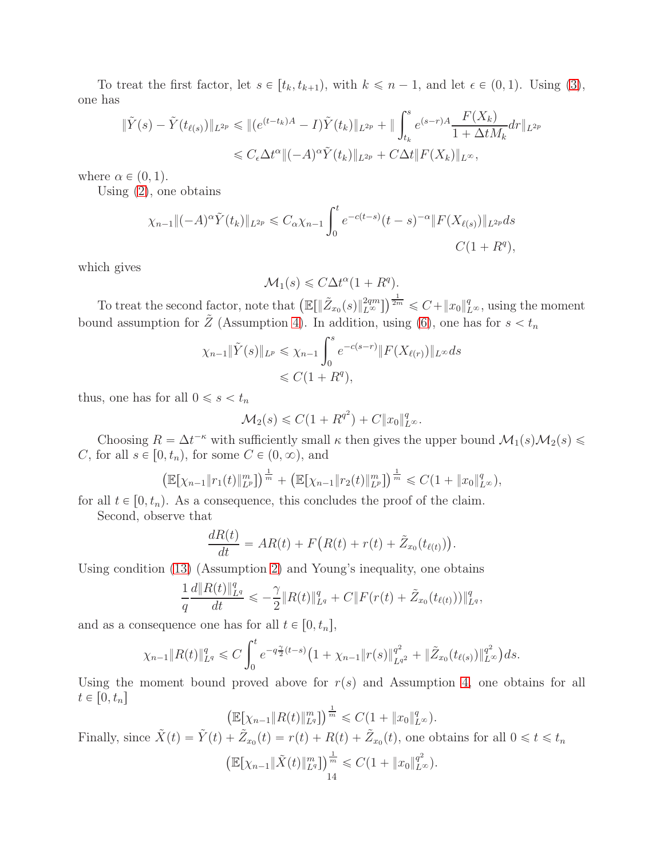To treat the first factor, let  $s \in [t_k, t_{k+1}),$  with  $k \leq n-1$ , and let  $\epsilon \in (0, 1)$ . Using [\(3\)](#page-3-2), one has

$$
\|\tilde{Y}(s) - \tilde{Y}(t_{\ell(s)})\|_{L^{2p}} \leq \| (e^{(t-t_k)A} - I)\tilde{Y}(t_k)\|_{L^{2p}} + \| \int_{t_k}^s e^{(s-r)A} \frac{F(X_k)}{1 + \Delta t M_k} dr \|_{L^{2p}}
$$
  

$$
\leq C_{\epsilon} \Delta t^{\alpha} \| (-A)^{\alpha} \tilde{Y}(t_k) \|_{L^{2p}} + C \Delta t \| F(X_k) \|_{L^{\infty}},
$$

where  $\alpha \in (0, 1)$ .

Using [\(2\)](#page-3-3), one obtains

$$
\chi_{n-1} \| (-A)^{\alpha} \tilde{Y}(t_k) \|_{L^{2p}} \leq C_{\alpha} \chi_{n-1} \int_0^t e^{-c(t-s)} (t-s)^{-\alpha} \| F(X_{\ell(s)}) \|_{L^{2p}} ds
$$
  

$$
C(1+R^q),
$$

which gives

$$
\mathcal{M}_1(s) \leq C\Delta t^{\alpha} (1 + R^q).
$$

To treat the second factor, note that  $\left(\mathbb{E}[\|\tilde{Z}_{x_0}(s)\|_{L^{\infty}}^{2qm}]\right)^{\frac{1}{2m}} \leqslant C + \|x_0\|_{L^{\infty}}^q$ , using the moment bound assumption for  $\tilde{Z}$  (Assumption [4\)](#page-6-1). In addition, using [\(6\)](#page-3-1), one has for  $s < t_n$ 

$$
\chi_{n-1} \|\tilde{Y}(s)\|_{L^p} \le \chi_{n-1} \int_0^s e^{-c(s-r)} \|F(X_{\ell(r)})\|_{L^\infty} ds
$$
  
 $\le C(1+R^q),$ 

thus, one has for all  $0 \le s < t_n$ 

$$
\mathcal{M}_2(s) \leqslant C(1 + R^{q^2}) + C \|x_0\|_{L^\infty}^q.
$$

Choosing  $R = \Delta t^{-\kappa}$  with sufficiently small  $\kappa$  then gives the upper bound  $\mathcal{M}_1(s)\mathcal{M}_2(s) \leq$ C, for all  $s \in [0, t_n)$ , for some  $C \in (0, \infty)$ , and

$$
\left(\mathbb{E}[\chi_{n-1}\|r_1(t)\|_{L^p}^m]\right)^{\frac{1}{m}}+\left(\mathbb{E}[\chi_{n-1}\|r_2(t)\|_{L^p}^m]\right)^{\frac{1}{m}}\leqslant C(1+\|x_0\|_{L^\infty}^q),
$$

for all  $t \in [0, t_n)$ . As a consequence, this concludes the proof of the claim.

Second, observe that

$$
\frac{dR(t)}{dt}=AR(t)+F\big(R(t)+r(t)+\tilde{Z}_{x_0}(t_{\ell(t)})\big).
$$

Using condition [\(13\)](#page-4-0) (Assumption [2\)](#page-4-3) and Young's inequality, one obtains

$$
\frac{1}{q}\frac{d\|R(t)\|_{L^q}^q}{dt} \leqslant -\frac{\gamma}{2}\|R(t)\|_{L^q}^q + C\|F(r(t) + \tilde{Z}_{x_0}(t_{\ell(t)}))\|_{L^q}^q,
$$

and as a consequence one has for all  $t \in [0, t_n]$ ,

$$
\chi_{n-1} \|R(t)\|_{L^q}^q \leq C \int_0^t e^{-q\frac{\gamma}{2}(t-s)} \big(1+\chi_{n-1} \|r(s)\|_{L^{q^2}}^{q^2} + \|\tilde{Z}_{x_0}(t_{\ell(s)})\|_{L^{\infty}}^{q^2}\big) ds.
$$

Using the moment bound proved above for  $r(s)$  and Assumption [4,](#page-6-1) one obtains for all  $t \in [0, t_n]$ 

$$
\left(\mathbb{E}[\chi_{n-1} \| R(t) \|_{L^q}^m]\right)^{\frac{1}{m}} \leqslant C(1 + \|x_0\|_{L^\infty}^q).
$$

Finally, since  $\tilde{X}(t) = \tilde{Y}(t) + \tilde{Z}_{x_0}(t) = r(t) + R(t) + \tilde{Z}_{x_0}(t)$ , one obtains for all  $0 \le t \le t_n$ 

$$
\left(\mathbb{E}[\chi_{n-1} \|\tilde{X}(t)\|_{L^q}^m]\right)_{14}^{\frac{1}{m}} \leq C(1 + \|x_0\|_{L^\infty}^{q^2}).
$$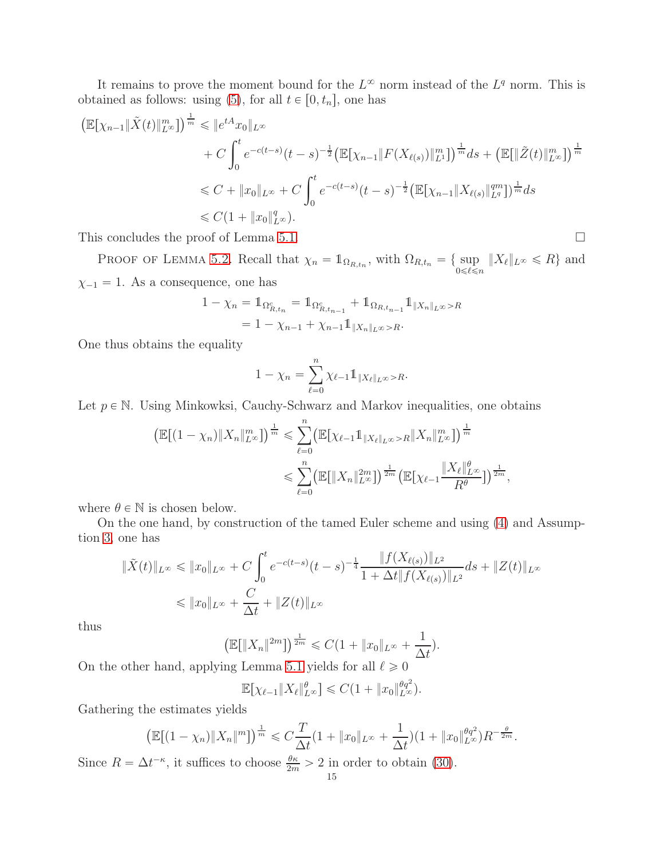It remains to prove the moment bound for the  $L^{\infty}$  norm instead of the  $L^{q}$  norm. This is obtained as follows: using [\(5\)](#page-3-0), for all  $t \in [0, t_n]$ , one has

$$
\begin{split} \left(\mathbb{E}[\chi_{n-1} \| \tilde{X}(t) \|_{L^{\infty}}^{m}] \right)^{\frac{1}{m}} &\leq \| e^{tA} x_{0} \|_{L^{\infty}} \\ &+ C \int_{0}^{t} e^{-c(t-s)} (t-s)^{-\frac{1}{2}} \left(\mathbb{E}[\chi_{n-1} \| F(X_{\ell(s)}) \|_{L^{1}}^{m}] \right)^{\frac{1}{m}} ds + \left(\mathbb{E}[\| \tilde{Z}(t) \|_{L^{\infty}}^{m}] \right)^{\frac{1}{m}} \\ &\leq C + \| x_{0} \|_{L^{\infty}} + C \int_{0}^{t} e^{-c(t-s)} (t-s)^{-\frac{1}{2}} \left(\mathbb{E}[\chi_{n-1} \| X_{\ell(s)} \|_{L^{q}}^{m}] \right)^{\frac{1}{m}} ds \\ &\leq C (1 + \| x_{0} \|_{L^{\infty}}^{q}). \end{split}
$$

This concludes the proof of Lemma [5.1.](#page-11-1)

PROOF OF LEMMA [5.2.](#page-11-2) Recall that  $\chi_n = \mathbb{1}_{\Omega_{R,t_n}}$ , with  $\Omega_{R,t_n} = \{ \sup_{0 \leq \ell \leq n} ||X_{\ell}||_{L^{\infty}} \leq R \}$  and  $\chi_{-1} = 1$ . As a consequence, one has

$$
1 - \chi_n = 1_{\Omega_{R,t_n}^c} = 1_{\Omega_{R,t_{n-1}}^c} + 1_{\Omega_{R,t_{n-1}}} 1_{\|X_n\|_{L^\infty} > R}
$$
  
= 1 - \chi\_{n-1} + \chi\_{n-1} 1\_{\|X\_n\|\_{L^\infty} > R}.

One thus obtains the equality

$$
1 - \chi_n = \sum_{\ell=0}^n \chi_{\ell-1} 1 \mathbb{1}_{\|X_{\ell}\|_{L^{\infty}} > R}.
$$

Let  $p \in \mathbb{N}$ . Using Minkowksi, Cauchy-Schwarz and Markov inequalities, one obtains

$$
\left(\mathbb{E}[(1-\chi_n)\|X_n\|_{L^{\infty}}^m]\right)^{\frac{1}{m}} \leq \sum_{\ell=0}^n \left(\mathbb{E}[\chi_{\ell-1}1_{\|X_{\ell}\|_{L^{\infty}}>R} \|X_n\|_{L^{\infty}}^m]\right)^{\frac{1}{m}} \leq \sum_{\ell=0}^n \left(\mathbb{E}[\|X_n\|_{L^{\infty}}^{2m}]\right)^{\frac{1}{2m}} \left(\mathbb{E}[\chi_{\ell-1}\frac{\|X_{\ell}\|_{L^{\infty}}^{\theta}}{R^{\theta}}]\right)^{\frac{1}{2m}},
$$

where  $\theta \in \mathbb{N}$  is chosen below.

On the one hand, by construction of the tamed Euler scheme and using [\(4\)](#page-3-4) and Assumption [3,](#page-5-0) one has

$$
\|\tilde{X}(t)\|_{L^{\infty}} \le \|x_0\|_{L^{\infty}} + C \int_0^t e^{-c(t-s)} (t-s)^{-\frac{1}{4}} \frac{\|f(X_{\ell(s)})\|_{L^2}}{1 + \Delta t \|f(X_{\ell(s)})\|_{L^2}} ds + \|Z(t)\|_{L^{\infty}}
$$
  

$$
\le \|x_0\|_{L^{\infty}} + \frac{C}{\Delta t} + \|Z(t)\|_{L^{\infty}}
$$

thus

$$
\left(\mathbb{E}[\|X_n\|^{2m}]\right)^{\frac{1}{2m}} \leqslant C(1+\|x_0\|_{L^\infty}+\frac{1}{\Delta t}).
$$

On the other hand, applying Lemma [5.1](#page-11-1) yields for all  $\ell \geq 0$ 

$$
\mathbb{E}[\chi_{\ell-1} \| X_{\ell} \|_{L^{\infty}}^{\theta}] \leq C(1 + \|x_0\|_{L^{\infty}}^{\theta q^2}).
$$

Gathering the estimates yields

$$
\left(\mathbb{E}[(1-\chi_n)\|X_n\|^m]\right)^{\frac{1}{m}} \leqslant C\frac{T}{\Delta t}(1+\|x_0\|_{L^\infty}+\frac{1}{\Delta t})(1+\|x_0\|_{L^\infty}^{\theta q^2})R^{-\frac{\theta}{2m}}.
$$

Since  $R = \Delta t^{-\kappa}$ , it suffices to choose  $\frac{\theta \kappa}{2m} > 2$  in order to obtain [\(30\)](#page-11-4).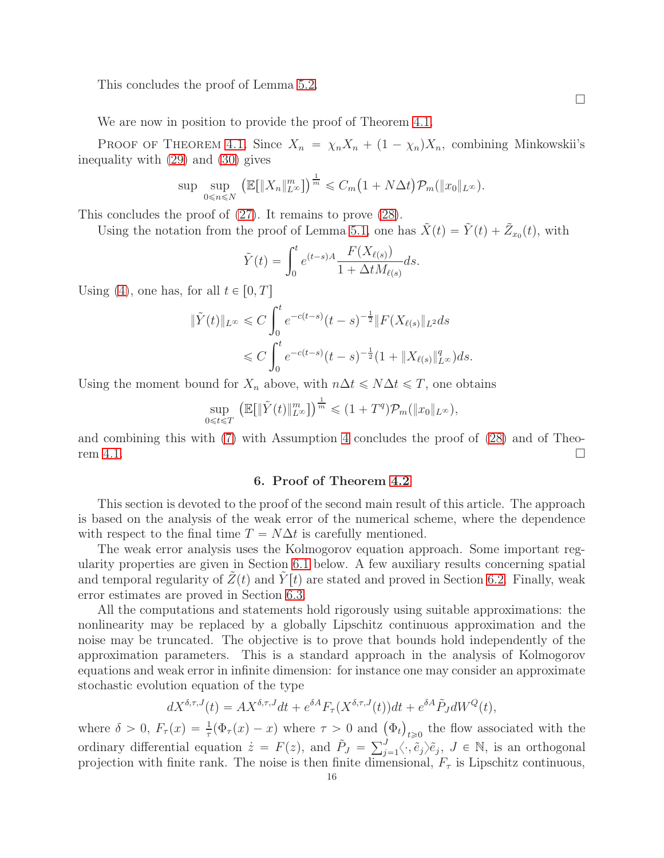This concludes the proof of Lemma [5.2.](#page-11-2)

We are now in position to provide the proof of Theorem [4.1.](#page-9-0)

PROOF OF THEOREM [4.1.](#page-9-0) Since  $X_n = \chi_n X_n + (1 - \chi_n) X_n$ , combining Minkowskii's inequality with [\(29\)](#page-11-3) and [\(30\)](#page-11-4) gives

$$
\sup_{0 \le n \le N} \left( \mathbb{E}[\|X_n\|_{L^\infty}^m] \right)^{\frac{1}{m}} \le C_m \left(1 + N\Delta t\right) \mathcal{P}_m(\|x_0\|_{L^\infty}).
$$

This concludes the proof of [\(27\)](#page-9-3). It remains to prove [\(28\)](#page-9-2).

Using the notation from the proof of Lemma [5.1,](#page-11-1) one has  $\tilde{X}(t) = \tilde{Y}(t) + \tilde{Z}_{x_0}(t)$ , with

$$
\tilde{Y}(t) = \int_0^t e^{(t-s)A} \frac{F(X_{\ell(s)})}{1 + \Delta t M_{\ell(s)}} ds.
$$

Using [\(4\)](#page-3-4), one has, for all  $t \in [0, T]$ 

$$
\begin{aligned} \|\tilde{Y}(t)\|_{L^{\infty}} &\leq C \int_{0}^{t} e^{-c(t-s)} (t-s)^{-\frac{1}{2}} \|F(X_{\ell(s)}\|_{L^{2}} ds \\ &\leq C \int_{0}^{t} e^{-c(t-s)} (t-s)^{-\frac{1}{2}} (1 + \|X_{\ell(s)}\|_{L^{\infty}}^{q}) ds. \end{aligned}
$$

Using the moment bound for  $X_n$  above, with  $n\Delta t \leq N\Delta t \leq T$ , one obtains

$$
\sup_{0\leqslant t\leqslant T}\left(\mathbb{E}[\|\tilde{Y}(t)\|_{L^\infty}^m]\right)^{\frac{1}{m}}\leqslant (1+T^q)\mathcal{P}_m(\|x_0\|_{L^\infty}),
$$

<span id="page-15-0"></span>and combining this with [\(7\)](#page-4-5) with Assumption [4](#page-6-1) concludes the proof of [\(28\)](#page-9-2) and of Theo-rem [4.1.](#page-9-0)  $\Box$ 

#### 6. Proof of Theorem [4.2](#page-9-1)

This section is devoted to the proof of the second main result of this article. The approach is based on the analysis of the weak error of the numerical scheme, where the dependence with respect to the final time  $T = N\Delta t$  is carefully mentioned.

The weak error analysis uses the Kolmogorov equation approach. Some important regularity properties are given in Section [6.1](#page-16-0) below. A few auxiliary results concerning spatial and temporal regularity of  $Z(t)$  and  $\tilde{Y}(t)$  are stated and proved in Section [6.2.](#page-18-0) Finally, weak error estimates are proved in Section [6.3.](#page-19-0)

All the computations and statements hold rigorously using suitable approximations: the nonlinearity may be replaced by a globally Lipschitz continuous approximation and the noise may be truncated. The objective is to prove that bounds hold independently of the approximation parameters. This is a standard approach in the analysis of Kolmogorov equations and weak error in infinite dimension: for instance one may consider an approximate stochastic evolution equation of the type

$$
dX^{\delta,\tau,J}(t) = AX^{\delta,\tau,J}dt + e^{\delta A}F_{\tau}(X^{\delta,\tau,J}(t))dt + e^{\delta A}\tilde{P}_J dW^Q(t),
$$

where  $\delta > 0$ ,  $F_{\tau}(x) = \frac{1}{\tau}(\Phi_{\tau}(x) - x)$  where  $\tau > 0$  and  $(\Phi_t)_{t \geq 0}$  the flow associated with the ordinary differential equation  $\dot{z} = F(z)$ , and  $\tilde{P}_J = \sum_{j=1}^J \langle \cdot, \tilde{e}_j \rangle \tilde{e}_j$ ,  $J \in \mathbb{N}$ , is an orthogonal projection with finite rank. The noise is then finite dimensional,  $F_{\tau}$  is Lipschitz continuous,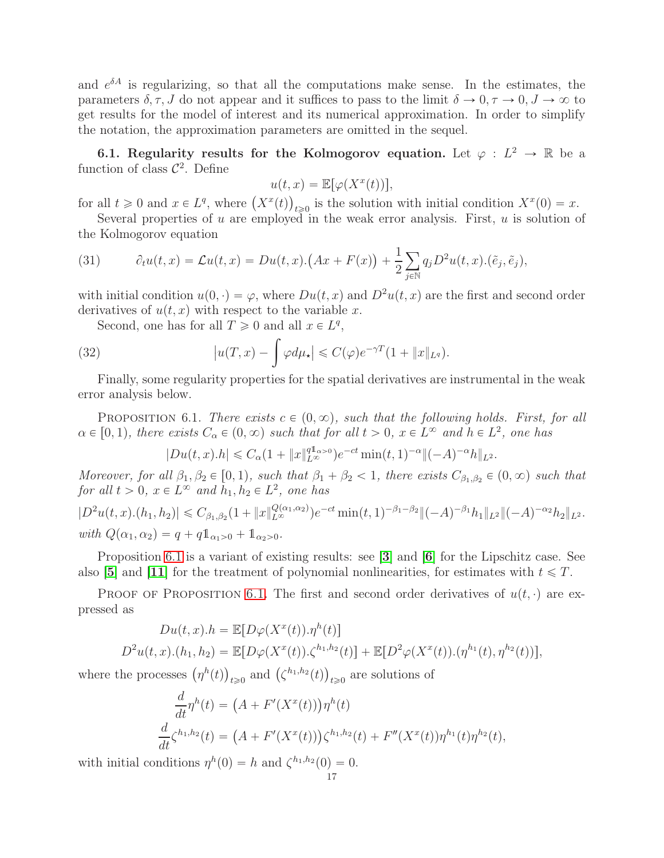and  $e^{\delta A}$  is regularizing, so that all the computations make sense. In the estimates, the parameters  $\delta, \tau, J$  do not appear and it suffices to pass to the limit  $\delta \to 0, \tau \to 0, J \to \infty$  to get results for the model of interest and its numerical approximation. In order to simplify the notation, the approximation parameters are omitted in the sequel.

<span id="page-16-0"></span>6.1. Regularity results for the Kolmogorov equation. Let  $\varphi : L^2 \to \mathbb{R}$  be a function of class  $\mathcal{C}^2$ . Define

$$
u(t,x) = \mathbb{E}[\varphi(X^x(t))],
$$

for all  $t \geq 0$  and  $x \in L^q$ , where  $(X^x(t))_{t \geq 0}$  is the solution with initial condition  $X^x(0) = x$ .

Several properties of u are employed in the weak error analysis. First, u is solution of the Kolmogorov equation

<span id="page-16-2"></span>(31) 
$$
\partial_t u(t,x) = \mathcal{L}u(t,x) = Du(t,x) \cdot (Ax + F(x)) + \frac{1}{2} \sum_{j \in \mathbb{N}} q_j D^2 u(t,x) \cdot (\tilde{e}_j, \tilde{e}_j),
$$

with initial condition  $u(0, \cdot) = \varphi$ , where  $Du(t, x)$  and  $D^2u(t, x)$  are the first and second order derivatives of  $u(t, x)$  with respect to the variable x.

Second, one has for all  $T \geq 0$  and all  $x \in L^q$ ,

(32) 
$$
\left| u(T,x) - \int \varphi d\mu_{\star} \right| \leqslant C(\varphi) e^{-\gamma T} (1 + \|x\|_{L^{q}}).
$$

Finally, some regularity properties for the spatial derivatives are instrumental in the weak error analysis below.

<span id="page-16-1"></span>PROPOSITION 6.1. There exists  $c \in (0, \infty)$ , such that the following holds. First, for all  $\alpha \in [0, 1)$ , there exists  $C_{\alpha} \in (0, \infty)$  such that for all  $t > 0$ ,  $x \in L^{\infty}$  and  $h \in L^2$ , one has

<span id="page-16-3"></span>
$$
|Du(t, x).h| \leq C_{\alpha}(1 + \|x\|_{L^{\infty}}^{q1_{\alpha}>0})e^{-ct} \min(t, 1)^{-\alpha} \|(-A)^{-\alpha}h\|_{L^{2}}.
$$

Moreover, for all  $\beta_1, \beta_2 \in [0, 1)$ , such that  $\beta_1 + \beta_2 < 1$ , there exists  $C_{\beta_1, \beta_2} \in (0, \infty)$  such that for all  $t > 0$ ,  $x \in L^{\infty}$  and  $h_1, h_2 \in L^2$ , one has

$$
|D^2u(t, x) \cdot (h_1, h_2)| \leq C_{\beta_1, \beta_2} (1 + \|x\|_{L^{\infty}}^{Q(\alpha_1, \alpha_2)}) e^{-ct} \min(t, 1)^{-\beta_1 - \beta_2} \|(-A)^{-\beta_1} h_1\|_{L^2} \|(-A)^{-\alpha_2} h_2\|_{L^2}.
$$
  
with  $Q(\alpha_1, \alpha_2) = q + q \mathbb{1}_{\alpha_1 > 0} + \mathbb{1}_{\alpha_2 > 0}$ .

Proposition [6.1](#page-16-1) is a variant of existing results: see [[3](#page-24-4)] and [[6](#page-24-5)] for the Lipschitz case. See also [[5](#page-24-9)] and [[11](#page-24-10)] for the treatment of polynomial nonlinearities, for estimates with  $t \leq T$ .

PROOF OF PROPOSITION [6.1.](#page-16-1) The first and second order derivatives of  $u(t, \cdot)$  are expressed as

$$
Du(t, x).h = \mathbb{E}[D\varphi(X^x(t)).\eta^h(t)]
$$
  

$$
D^2u(t, x).(h_1, h_2) = \mathbb{E}[D\varphi(X^x(t)).\zeta^{h_1, h_2}(t)] + \mathbb{E}[D^2\varphi(X^x(t)).(\eta^{h_1}(t), \eta^{h_2}(t))],
$$

where the processes  $(\eta^h(t))_{t\geqslant 0}$  and  $(\zeta^{h_1,h_2}(t))_{t\geqslant 0}$  are solutions of

$$
\frac{d}{dt}\eta^{h}(t) = (A + F'(X^{x}(t)))\eta^{h}(t)
$$
\n
$$
\frac{d}{dt}\zeta^{h_{1},h_{2}}(t) = (A + F'(X^{x}(t)))\zeta^{h_{1},h_{2}}(t) + F''(X^{x}(t))\eta^{h_{1}}(t)\eta^{h_{2}}(t),
$$

with initial conditions  $\eta^h(0) = h$  and  $\zeta^{h_1,h_2}(0) = 0$ .<br>17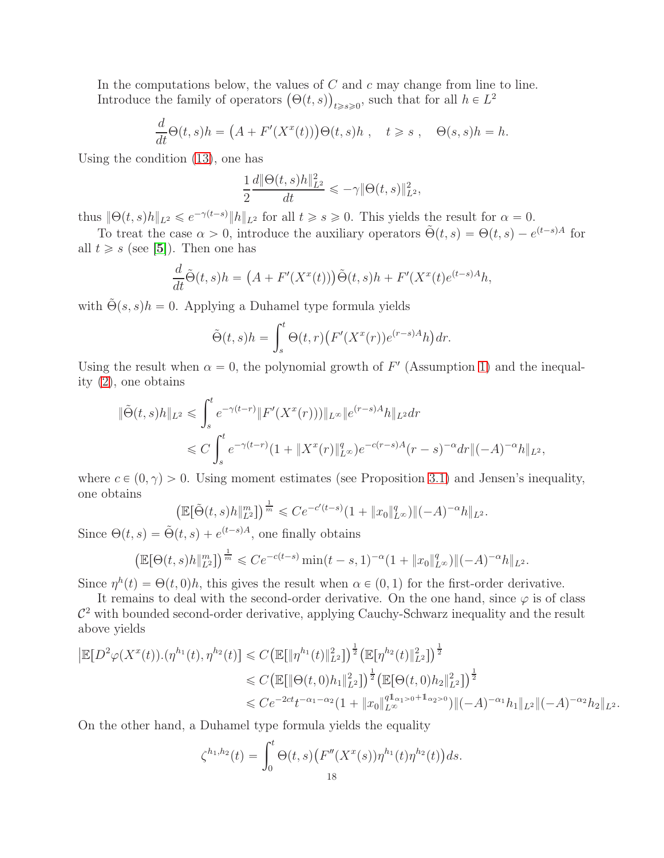In the computations below, the values of  $C$  and  $c$  may change from line to line. Introduce the family of operators  $(\Theta(t, s))_{t \geq s \geq 0}$ , such that for all  $h \in L^2$ 

$$
\frac{d}{dt}\Theta(t,s)h = (A + F'(X^x(t)))\Theta(t,s)h , \quad t \geq s , \quad \Theta(s,s)h = h.
$$

Using the condition [\(13\)](#page-4-0), one has

$$
\frac{1}{2}\frac{d\|\Theta(t,s)h\|_{L^2}^2}{dt} \leqslant -\gamma \|\Theta(t,s)\|_{L^2}^2,
$$

thus  $\|\Theta(t,s)h\|_{L^2} \leqslant e^{-\gamma(t-s)}\|h\|_{L^2}$  for all  $t \geqslant s \geqslant 0$ . This yields the result for  $\alpha = 0$ .

To treat the case  $\alpha > 0$ , introduce the auxiliary operators  $\tilde{\Theta}(t,s) = \Theta(t,s) - e^{(t-s)A}$  for all  $t \geq s$  (see [[5](#page-24-9)]). Then one has

$$
\frac{d}{dt}\tilde{\Theta}(t,s)h = (A + F'(X^x(t)))\tilde{\Theta}(t,s)h + F'(X^x(t)e^{(t-s)A}h,
$$

with  $\tilde{\Theta}(s, s)h = 0$ . Applying a Duhamel type formula yields

$$
\tilde{\Theta}(t,s)h = \int_s^t \Theta(t,r) \big(F'(X^x(r))e^{(r-s)A}h\big) dr.
$$

Using the result when  $\alpha = 0$ , the polynomial growth of F' (Assumption [1\)](#page-4-1) and the inequality [\(2\)](#page-3-3), one obtains

$$
\|\tilde{\Theta}(t,s)h\|_{L^{2}} \leq \int_{s}^{t} e^{-\gamma(t-r)} \|F'(X^{x}(r)))\|_{L^{\infty}} \|e^{(r-s)A}h\|_{L^{2}} dr
$$
  

$$
\leq C \int_{s}^{t} e^{-\gamma(t-r)} (1 + \|X^{x}(r)\|_{L^{\infty}}^{q}) e^{-c(r-s)A}(r-s)^{-\alpha} dr \|(-A)^{-\alpha}h\|_{L^{2}},
$$

where  $c \in (0, \gamma) > 0$ . Using moment estimates (see Proposition [3.1\)](#page-7-0) and Jensen's inequality, one obtains

$$
\left(\mathbb{E}[\tilde{\Theta}(t,s)h\|_{L^2}^m]\right)^{\frac{1}{m}} \leqslant Ce^{-c'(t-s)}(1+\|x_0\|_{L^\infty}^q)\|(-A)^{-\alpha}h\|_{L^2}.
$$

Since  $\Theta(t, s) = \tilde{\Theta}(t, s) + e^{(t-s)A}$ , one finally obtains

$$
\left(\mathbb{E}[\Theta(t,s)h\|_{L^2}^m]\right)^{\frac{1}{m}} \leqslant Ce^{-c(t-s)}\min(t-s,1)^{-\alpha}(1+\|x_0\|_{L^\infty}^q)\|(-A)^{-\alpha}h\|_{L^2}.
$$

Since  $\eta^h(t) = \Theta(t, 0)h$ , this gives the result when  $\alpha \in (0, 1)$  for the first-order derivative.

It remains to deal with the second-order derivative. On the one hand, since  $\varphi$  is of class  $\mathcal{C}^2$  with bounded second-order derivative, applying Cauchy-Schwarz inequality and the result above yields

$$
\begin{split} \left| \mathbb{E}[D^2 \varphi(X^x(t)) . (\eta^{h_1}(t), \eta^{h_2}(t)) \right| &\leq C \big( \mathbb{E}[\|\eta^{h_1}(t)\|_{L^2}^2] \big)^{\frac{1}{2}} \big( \mathbb{E}[\eta^{h_2}(t)\|_{L^2}^2] \big)^{\frac{1}{2}} \\ &\leq C \big( \mathbb{E}[\|\Theta(t, 0)h_1\|_{L^2}^2] \big)^{\frac{1}{2}} \big( \mathbb{E}[\Theta(t, 0)h_2\|_{L^2}^2] \big)^{\frac{1}{2}} \\ &\leq C e^{-2ct} t^{-\alpha_1 - \alpha_2} (1 + \|x_0\|_{L^\infty}^{q \mathbf{1}_{\alpha_1} > 0 + \mathbf{1}_{\alpha_2} > 0}) \|(-A)^{-\alpha_1} h_1\|_{L^2} \|(-A)^{-\alpha_2} h_2\|_{L^2} .\end{split}
$$

On the other hand, a Duhamel type formula yields the equality

$$
\zeta^{h_1,h_2}(t) = \int_0^t \Theta(t,s) \big( F''(X^x(s)) \eta^{h_1}(t) \eta^{h_2}(t) \big) ds.
$$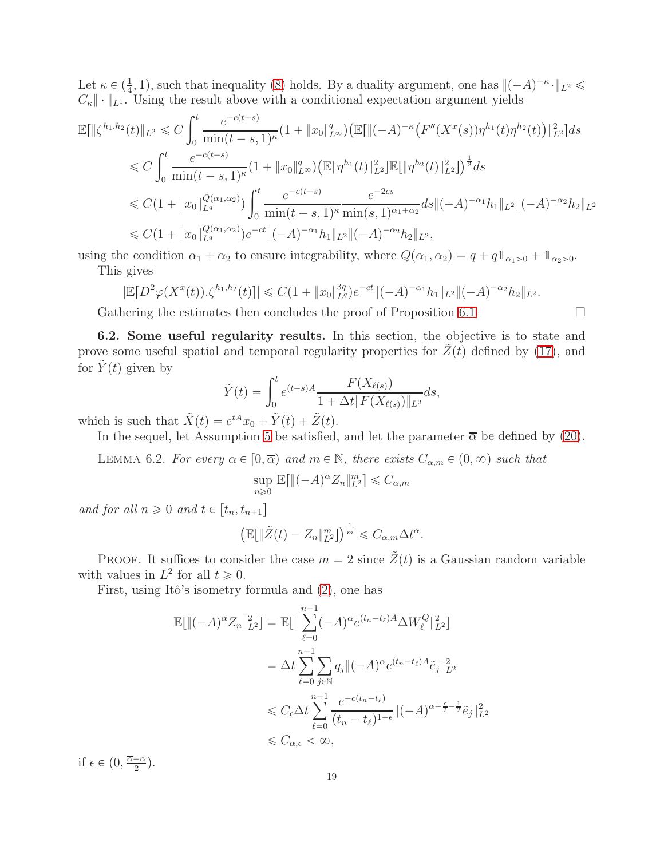Let  $\kappa \in (\frac{1}{4}, 1)$ , such that inequality [\(8\)](#page-4-4) holds. By a duality argument, one has  $\|(-A)^{-\kappa} \cdot \|_{L^2} \le$  $C_{\kappa}$   $\|\cdot\|_{L^1}$ . Using the result above with a conditional expectation argument yields

$$
\mathbb{E}[\|\zeta^{h_1,h_2}(t)\|_{L^2} \leq C \int_0^t \frac{e^{-c(t-s)}}{\min(t-s,1)^{\kappa}} (1 + \|x_0\|_{L^{\infty}}^q) \left(\mathbb{E}[\|(-A)^{-\kappa} \left(F''(X^x(s))\eta^{h_1}(t)\eta^{h_2}(t)\right)\|_{L^2}^2\right] ds
$$
  
\n
$$
\leq C \int_0^t \frac{e^{-c(t-s)}}{\min(t-s,1)^{\kappa}} (1 + \|x_0\|_{L^{\infty}}^q) \left(\mathbb{E}[\|\eta^{h_1}(t)\|_{L^2}^2\right] \mathbb{E}[\|\eta^{h_2}(t)\|_{L^2}^2]\right)^{\frac{1}{2}} ds
$$
  
\n
$$
\leq C(1 + \|x_0\|_{L^q}^{Q(\alpha_1,\alpha_2)}) \int_0^t \frac{e^{-c(t-s)}}{\min(t-s,1)^{\kappa}} \frac{e^{-2cs}}{\min(s,1)^{\alpha_1+\alpha_2}} ds \|(-A)^{-\alpha_1} h_1\|_{L^2} \|(-A)^{-\alpha_2} h_2\|_{L^2}
$$
  
\n
$$
\leq C(1 + \|x_0\|_{L^q}^{Q(\alpha_1,\alpha_2)}) e^{-ct} \|(-A)^{-\alpha_1} h_1\|_{L^2} \|(-A)^{-\alpha_2} h_2\|_{L^2},
$$

using the condition  $\alpha_1 + \alpha_2$  to ensure integrability, where  $Q(\alpha_1, \alpha_2) = q + q \mathbb{1}_{\alpha_1 > 0} + \mathbb{1}_{\alpha_2 > 0}$ . This gives

$$
|\mathbb{E}[D^2\varphi(X^x(t)).\zeta^{h_1,h_2}(t)]| \leq C(1+\|x_0\|_{L^q}^{3q})e^{-ct}\|(-A)^{-\alpha_1}h_1\|_{L^2}\|(-A)^{-\alpha_2}h_2\|_{L^2}.
$$

Gathering the estimates then concludes the proof of Proposition [6.1.](#page-16-1)  $\Box$ 

<span id="page-18-0"></span>6.2. Some useful regularity results. In this section, the objective is to state and prove some useful spatial and temporal regularity properties for  $Z(t)$  defined by [\(17\)](#page-5-1), and for  $Y(t)$  given by

$$
\tilde{Y}(t) = \int_0^t e^{(t-s)A} \frac{F(X_{\ell(s)})}{1 + \Delta t \|F(X_{\ell(s)})\|_{L^2}} ds,
$$

which is such that  $\tilde{X}(t) = e^{tA}x_0 + \tilde{Y}(t) + \tilde{Z}(t)$ .

In the sequel, let Assumption [5](#page-6-2) be satisfied, and let the parameter  $\bar{\alpha}$  be defined by [\(20\)](#page-6-5).

<span id="page-18-1"></span>LEMMA 6.2. For every  $\alpha \in [0, \overline{\alpha})$  and  $m \in \mathbb{N}$ , there exists  $C_{\alpha,m} \in (0, \infty)$  such that

$$
\sup_{n\geq 0} \mathbb{E}[\|(-A)^{\alpha} Z_n\|_{L^2}^m] \leq C_{\alpha,m}
$$

and for all  $n \geqslant 0$  and  $t \in [t_n, t_{n+1}]$ 

$$
\left(\mathbb{E}\left[\|\tilde{Z}(t)-Z_n\|_{L^2}^m\right]\right)^{\frac{1}{m}} \leqslant C_{\alpha,m}\Delta t^{\alpha}.
$$

PROOF. It suffices to consider the case  $m = 2$  since  $\tilde{Z}(t)$  is a Gaussian random variable with values in  $L^2$  for all  $t \geq 0$ .

First, using Itô's isometry formula and [\(2\)](#page-3-3), one has

$$
\mathbb{E}[\|(-A)^{\alpha}Z_{n}\|_{L^{2}}^{2}] = \mathbb{E}[\|\sum_{\ell=0}^{n-1}(-A)^{\alpha}e^{(t_{n}-t_{\ell})A}\Delta W_{\ell}^{Q}\|_{L^{2}}^{2}]
$$
  

$$
= \Delta t \sum_{\ell=0}^{n-1} \sum_{j\in\mathbb{N}} q_{j}\|(-A)^{\alpha}e^{(t_{n}-t_{\ell})A}\tilde{e}_{j}\|_{L^{2}}^{2}
$$
  

$$
\leq C_{\epsilon}\Delta t \sum_{\ell=0}^{n-1} \frac{e^{-c(t_{n}-t_{\ell})}}{(t_{n}-t_{\ell})^{1-\epsilon}}\|(-A)^{\alpha+\frac{\epsilon}{2}-\frac{1}{2}}\tilde{e}_{j}\|_{L^{2}}^{2}
$$
  

$$
\leq C_{\alpha,\epsilon} < \infty,
$$

if  $\epsilon \in \left(0, \frac{\overline{\alpha} - \alpha}{2}\right)$  $\frac{-\alpha}{2}$ .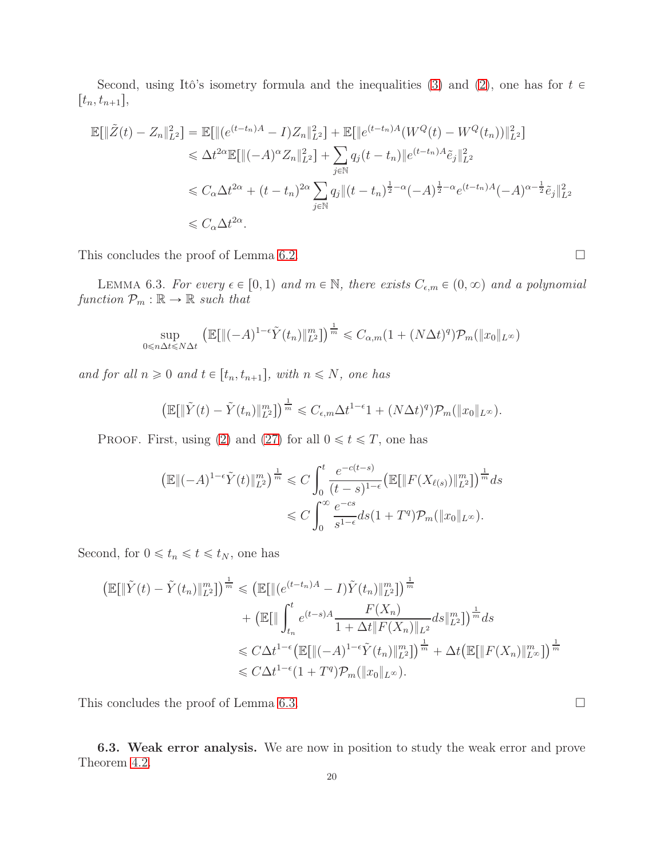Second, using Itô's isometry formula and the inequalities [\(3\)](#page-3-2) and [\(2\)](#page-3-3), one has for  $t \in$  $[t_n, t_{n+1}],$ 

$$
\mathbb{E}[\|\tilde{Z}(t) - Z_n\|_{L^2}^2] = \mathbb{E}[\|(e^{(t-t_n)A} - I)Z_n\|_{L^2}^2] + \mathbb{E}[\|e^{(t-t_n)A}(W^Q(t) - W^Q(t_n))\|_{L^2}^2]
$$
  
\n
$$
\leq \Delta t^{2\alpha} \mathbb{E}[\|(-A)^\alpha Z_n\|_{L^2}^2] + \sum_{j \in \mathbb{N}} q_j(t - t_n) \|e^{(t-t_n)A}\tilde{e}_j\|_{L^2}^2
$$
  
\n
$$
\leq C_\alpha \Delta t^{2\alpha} + (t - t_n)^{2\alpha} \sum_{j \in \mathbb{N}} q_j \|(t - t_n)^{\frac{1}{2} - \alpha}(-A)^{\frac{1}{2} - \alpha} e^{(t-t_n)A}(-A)^{\alpha - \frac{1}{2}} \tilde{e}_j\|_{L^2}^2
$$
  
\n
$$
\leq C_\alpha \Delta t^{2\alpha}.
$$

This concludes the proof of Lemma [6.2.](#page-18-1)  $\Box$ 

<span id="page-19-1"></span>LEMMA 6.3. For every  $\epsilon \in [0, 1)$  and  $m \in \mathbb{N}$ , there exists  $C_{\epsilon,m} \in (0, \infty)$  and a polynomial function  $\mathcal{P}_m : \mathbb{R} \to \mathbb{R}$  such that

$$
\sup_{0 \le n \Delta t \le N \Delta t} \left( \mathbb{E}[\|(-A)^{1-\epsilon} \tilde{Y}(t_n)\|_{L^2}^m] \right)^{\frac{1}{m}} \le C_{\alpha,m} (1 + (N \Delta t)^q) \mathcal{P}_m(\|x_0\|_{L^\infty})
$$

and for all  $n \geq 0$  and  $t \in [t_n, t_{n+1}],$  with  $n \leq N$ , one has

$$
\left(\mathbb{E}[\|\tilde{Y}(t)-\tilde{Y}(t_n)\|_{L^2}^m]\right)^{\frac{1}{m}} \leq C_{\epsilon,m}\Delta t^{1-\epsilon}1+(N\Delta t)^q)\mathcal{P}_m(\|x_0\|_{L^\infty}).
$$

PROOF. First, using [\(2\)](#page-3-3) and [\(27\)](#page-9-3) for all  $0 \le t \le T$ , one has

$$
\left(\mathbb{E}\|(-A)^{1-\epsilon}\tilde{Y}(t)\|_{L^{2}}^{m}\right)^{\frac{1}{m}} \leq C \int_{0}^{t} \frac{e^{-c(t-s)}}{(t-s)^{1-\epsilon}} \left(\mathbb{E}[\|F(X_{\ell(s)})\|_{L^{2}}^{m}]\right)^{\frac{1}{m}} ds
$$
  

$$
\leq C \int_{0}^{\infty} \frac{e^{-cs}}{s^{1-\epsilon}} ds (1+T^{q}) \mathcal{P}_{m}(\|x_{0}\|_{L^{\infty}}).
$$

Second, for  $0 \leq t_n \leq t \leq t_N$ , one has

$$
\begin{split} \left( \mathbb{E}[\|\tilde{Y}(t) - \tilde{Y}(t_n)\|_{L^2}^m] \right)^{\frac{1}{m}} &\leq \left( \mathbb{E}[\|(e^{(t-t_n)A} - I)\tilde{Y}(t_n)\|_{L^2}^m] \right)^{\frac{1}{m}} \\ &+ \left( \mathbb{E}[\|\int_{t_n}^t e^{(t-s)A} \frac{F(X_n)}{1 + \Delta t \|F(X_n)\|_{L^2}} ds \|_{L^2}^m] \right)^{\frac{1}{m}} ds \\ &\leq C\Delta t^{1-\epsilon} \left( \mathbb{E}[\|(-A)^{1-\epsilon}\tilde{Y}(t_n)\|_{L^2}^m] \right)^{\frac{1}{m}} + \Delta t \left( \mathbb{E}[\|F(X_n)\|_{L^\infty}^m] \right)^{\frac{1}{m}} \\ &\leq C\Delta t^{1-\epsilon} (1+T^q) \mathcal{P}_m(\|x_0\|_{L^\infty}). \end{split}
$$

This concludes the proof of Lemma [6.3.](#page-19-1)

<span id="page-19-0"></span>6.3. Weak error analysis. We are now in position to study the weak error and prove Theorem [4.2.](#page-9-1)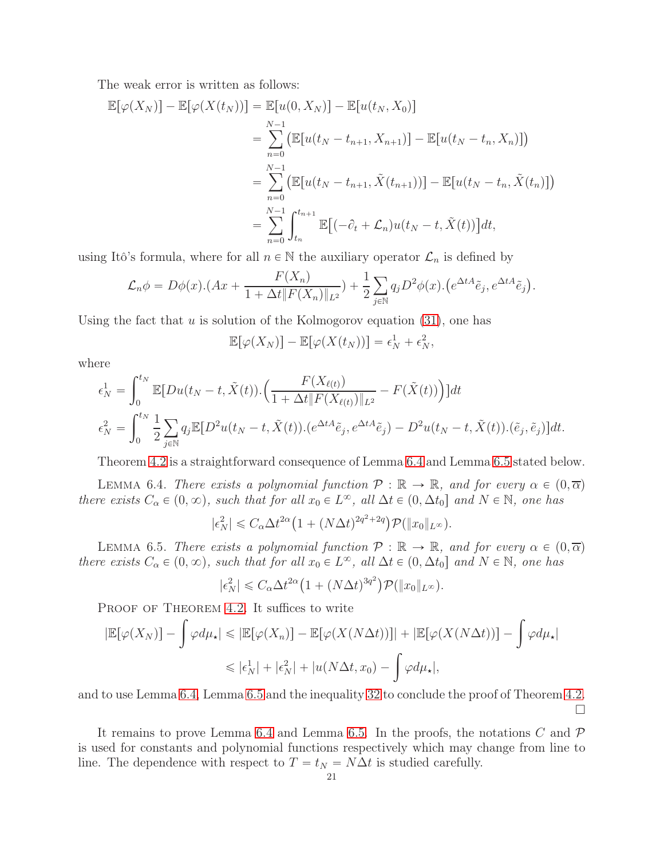The weak error is written as follows:

$$
\mathbb{E}[\varphi(X_N)] - \mathbb{E}[\varphi(X(t_N))] = \mathbb{E}[u(0, X_N)] - \mathbb{E}[u(t_N, X_0)]
$$
  
\n
$$
= \sum_{n=0}^{N-1} (\mathbb{E}[u(t_N - t_{n+1}, X_{n+1})] - \mathbb{E}[u(t_N - t_n, X_n)])
$$
  
\n
$$
= \sum_{n=0}^{N-1} (\mathbb{E}[u(t_N - t_{n+1}, \tilde{X}(t_{n+1}))] - \mathbb{E}[u(t_N - t_n, \tilde{X}(t_n)])
$$
  
\n
$$
= \sum_{n=0}^{N-1} \int_{t_n}^{t_{n+1}} \mathbb{E}[(-\partial_t + \mathcal{L}_n)u(t_N - t, \tilde{X}(t))]dt,
$$

using Itô's formula, where for all  $n \in \mathbb{N}$  the auxiliary operator  $\mathcal{L}_n$  is defined by

$$
\mathcal{L}_n \phi = D\phi(x) \cdot (Ax + \frac{F(X_n)}{1 + \Delta t \|F(X_n)\|_{L^2}}) + \frac{1}{2} \sum_{j \in \mathbb{N}} q_j D^2 \phi(x) \cdot (e^{\Delta t A} \tilde{e}_j, e^{\Delta t A} \tilde{e}_j).
$$

Using the fact that u is solution of the Kolmogorov equation  $(31)$ , one has

$$
\mathbb{E}[\varphi(X_N)] - \mathbb{E}[\varphi(X(t_N))] = \epsilon_N^1 + \epsilon_N^2,
$$

where

$$
\epsilon_N^1 = \int_0^{t_N} \mathbb{E}[Du(t_N - t, \tilde{X}(t)) \cdot \left(\frac{F(X_{\ell(t)})}{1 + \Delta t \|F(X_{\ell(t)})\|_{L^2}} - F(\tilde{X}(t))\right)]dt
$$
  

$$
\epsilon_N^2 = \int_0^{t_N} \frac{1}{2} \sum_{j \in \mathbb{N}} q_j \mathbb{E}[D^2 u(t_N - t, \tilde{X}(t)) \cdot (e^{\Delta t A} \tilde{e}_j, e^{\Delta t A} \tilde{e}_j) - D^2 u(t_N - t, \tilde{X}(t)) \cdot (\tilde{e}_j, \tilde{e}_j)]dt.
$$

Theorem [4.2](#page-9-1) is a straightforward consequence of Lemma [6.4](#page-20-0) and Lemma [6.5](#page-20-1) stated below.

<span id="page-20-0"></span>LEMMA 6.4. There exists a polynomial function  $\mathcal{P}: \mathbb{R} \to \mathbb{R}$ , and for every  $\alpha \in (0, \overline{\alpha})$ there exists  $C_{\alpha} \in (0, \infty)$ , such that for all  $x_0 \in L^{\infty}$ , all  $\Delta t \in (0, \Delta t_0]$  and  $N \in \mathbb{N}$ , one has

$$
|\epsilon_N^2| \leq C_\alpha \Delta t^{2\alpha} \big( 1 + (N \Delta t)^{2q^2 + 2q} \big) \mathcal{P}(\|x_0\|_{L^\infty}).
$$

<span id="page-20-1"></span>LEMMA 6.5. There exists a polynomial function  $\mathcal{P}: \mathbb{R} \to \mathbb{R}$ , and for every  $\alpha \in (0, \overline{\alpha})$ there exists  $C_{\alpha} \in (0, \infty)$ , such that for all  $x_0 \in L^{\infty}$ , all  $\Delta t \in (0, \Delta t_0]$  and  $N \in \mathbb{N}$ , one has

$$
|\epsilon_N^2| \leq C_\alpha \Delta t^{2\alpha} \big( 1 + (N \Delta t)^{3q^2} \big) \mathcal{P}(\|x_0\|_{L^\infty}).
$$

PROOF OF THEOREM [4.2.](#page-9-1) It suffices to write

$$
|\mathbb{E}[\varphi(X_N)] - \int \varphi d\mu_{\star}| \leq |\mathbb{E}[\varphi(X_n)] - \mathbb{E}[\varphi(X(N\Delta t))]| + |\mathbb{E}[\varphi(X(N\Delta t))] - \int \varphi d\mu_{\star}|
$$
  

$$
\leq |\epsilon_N^1| + |\epsilon_N^2| + |u(N\Delta t, x_0) - \int \varphi d\mu_{\star}|,
$$

and to use Lemma [6.4,](#page-20-0) Lemma [6.5](#page-20-1) and the inequality [32](#page-16-3) to conclude the proof of Theorem [4.2.](#page-9-1)  $\Box$ 

It remains to prove Lemma [6.4](#page-20-0) and Lemma [6.5.](#page-20-1) In the proofs, the notations  $C$  and  $\mathcal P$ is used for constants and polynomial functions respectively which may change from line to line. The dependence with respect to  $T = t_N = N\Delta t$  is studied carefully.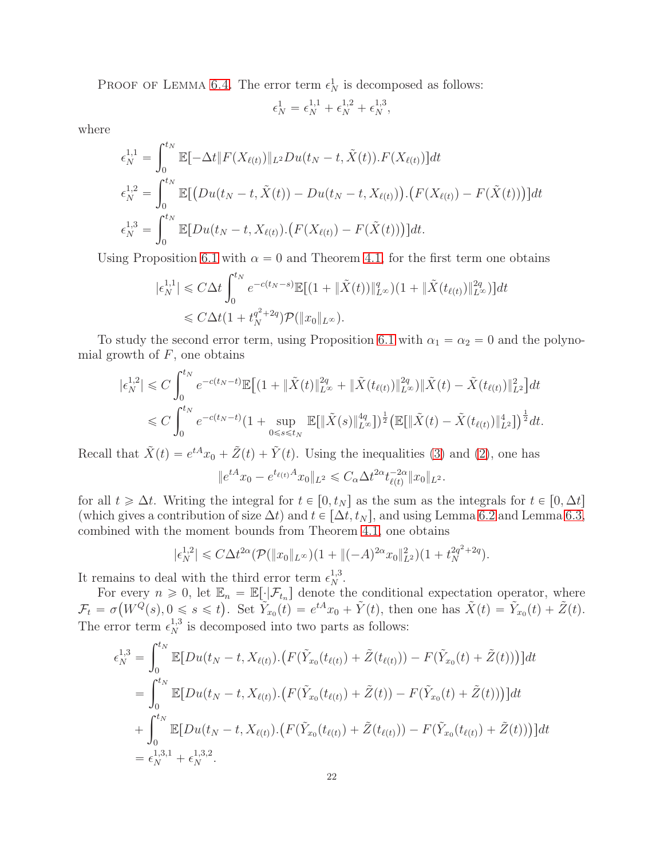PROOF OF LEMMA [6.4.](#page-20-0) The error term  $\epsilon_N^1$  is decomposed as follows:

$$
\epsilon_N^1=\epsilon_N^{1,1}+\epsilon_N^{1,2}+\epsilon_N^{1,3},
$$

where

$$
\epsilon_N^{1,1} = \int_0^{t_N} \mathbb{E}[-\Delta t \| F(X_{\ell(t)}) \|_{L^2} Du(t_N - t, \tilde{X}(t)).F(X_{\ell(t)})] dt \n\epsilon_N^{1,2} = \int_0^{t_N} \mathbb{E}[(Du(t_N - t, \tilde{X}(t)) - Du(t_N - t, X_{\ell(t)})).(F(X_{\ell(t)}) - F(\tilde{X}(t)))] dt \n\epsilon_N^{1,3} = \int_0^{t_N} \mathbb{E}[Du(t_N - t, X_{\ell(t)}).(F(X_{\ell(t)}) - F(\tilde{X}(t)))] dt.
$$

Using Proposition [6.1](#page-16-1) with  $\alpha = 0$  and Theorem [4.1,](#page-9-0) for the first term one obtains

$$
|\epsilon_N^{1,1}| \le C\Delta t \int_0^{t_N} e^{-c(t_N - s)} \mathbb{E}[(1 + \|\tilde{X}(t)\|_{L^\infty}^q)(1 + \|\tilde{X}(t_{\ell(t)})\|_{L^\infty}^{2q})] dt
$$
  

$$
\le C\Delta t (1 + t_N^{q^2 + 2q}) \mathcal{P}(\|x_0\|_{L^\infty}).
$$

To study the second error term, using Proposition [6.1](#page-16-1) with  $\alpha_1 = \alpha_2 = 0$  and the polynomial growth of  $F$ , one obtains

$$
|\epsilon_N^{1,2}| \leq C \int_0^{t_N} e^{-c(t_N - t)} \mathbb{E} \left[ \left( 1 + \|\tilde{X}(t)\|_{L^\infty}^{2q} + \|\tilde{X}(t_{\ell(t)})\|_{L^\infty}^{2q} \right) \|\tilde{X}(t) - \tilde{X}(t_{\ell(t)})\|_{L^2}^{2} \right] dt
$$
  
\$\leq C \int\_0^{t\_N} e^{-c(t\_N - t)} \left( 1 + \sup\_{0 \leq s \leq t\_N} \mathbb{E} \left[ \|\tilde{X}(s)\|\_{L^\infty}^{4q} \right] \right)^{\frac{1}{2}} \left( \mathbb{E} \left[ \|\tilde{X}(t) - \tilde{X}(t\_{\ell(t)})\|\_{L^2}^{4} \right] \right)^{\frac{1}{2}} dt.

Recall that  $\tilde{X}(t) = e^{tA}x_0 + \tilde{Z}(t) + \tilde{Y}(t)$ . Using the inequalities [\(3\)](#page-3-2) and [\(2\)](#page-3-3), one has

$$
||e^{tA}x_0 - e^{t_{\ell(t)}A}x_0||_{L^2} \leq C_\alpha \Delta t^{2\alpha} t_{\ell(t)}^{-2\alpha} ||x_0||_{L^2}.
$$

for all  $t \geq \Delta t$ . Writing the integral for  $t \in [0, t_N]$  as the sum as the integrals for  $t \in [0, \Delta t]$ (which gives a contribution of size  $\Delta t$ ) and  $t \in [\Delta t, t_N]$ , and using Lemma [6.2](#page-18-1) and Lemma [6.3,](#page-19-1) combined with the moment bounds from Theorem [4.1,](#page-9-0) one obtains

$$
|\epsilon_N^{1,2}| \leq C\Delta t^{2\alpha} (\mathcal{P}(\|x_0\|_{L^\infty})(1 + \|(-A)^{2\alpha}x_0\|_{L^2}^2)(1 + t_N^{2q^2 + 2q}).
$$

It remains to deal with the third error term  $\epsilon_N^{1,3}$ .

For every  $n \geq 0$ , let  $\mathbb{E}_n = \mathbb{E}[\cdot | \mathcal{F}_{t_n}]$  denote the conditional expectation operator, where  $\mathcal{F}_t = \sigma(W^Q(s), 0 \leq s \leq t)$ . Set  $\widetilde{Y}_{x_0}(t) = e^{tA}x_0 + \widetilde{Y}(t)$ , then one has  $\widetilde{X}(t) = \widetilde{Y}_{x_0}(t) + \widetilde{Z}(t)$ . The error term  $\epsilon_N^{1,3}$  is decomposed into two parts as follows:

$$
\epsilon_N^{1,3} = \int_0^{t_N} \mathbb{E}[Du(t_N - t, X_{\ell(t)}) \cdot (F(\tilde{Y}_{x_0}(t_{\ell(t)}) + \tilde{Z}(t_{\ell(t)})) - F(\tilde{Y}_{x_0}(t) + \tilde{Z}(t)))]dt \n= \int_0^{t_N} \mathbb{E}[Du(t_N - t, X_{\ell(t)}) \cdot (F(\tilde{Y}_{x_0}(t_{\ell(t)}) + \tilde{Z}(t)) - F(\tilde{Y}_{x_0}(t) + \tilde{Z}(t)))]dt \n+ \int_0^{t_N} \mathbb{E}[Du(t_N - t, X_{\ell(t)}) \cdot (F(\tilde{Y}_{x_0}(t_{\ell(t)}) + \tilde{Z}(t_{\ell(t)})) - F(\tilde{Y}_{x_0}(t_{\ell(t)}) + \tilde{Z}(t)))]dt \n= \epsilon_N^{1,3,1} + \epsilon_N^{1,3,2}.
$$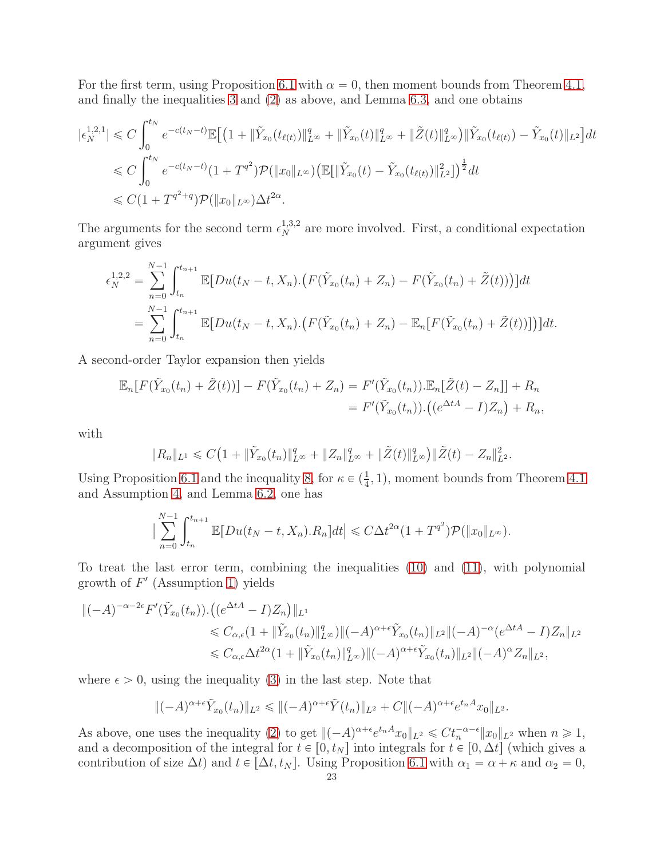For the first term, using Proposition [6.1](#page-16-1) with  $\alpha = 0$ , then moment bounds from Theorem [4.1,](#page-9-0) and finally the inequalities [3](#page-3-2) and [\(2\)](#page-3-3) as above, and Lemma [6.3,](#page-19-1) and one obtains

$$
\begin{split} |\epsilon_N^{1,2,1}| &\leq C \int_0^{t_N} e^{-c(t_N-t)} \mathbb{E} \Big[ \big( 1 + \|\tilde{Y}_{x_0}(t_{\ell(t)})\|_{L^\infty}^q + \|\tilde{Y}_{x_0}(t)\|_{L^\infty}^q + \|\tilde{Z}(t)\|_{L^\infty}^q \big) \|\tilde{Y}_{x_0}(t_{\ell(t)}) - \tilde{Y}_{x_0}(t)\|_{L^2} \Big] dt \\ &\leq C \int_0^{t_N} e^{-c(t_N-t)} (1 + T^{q^2}) \mathcal{P}(\|x_0\|_{L^\infty}) \big( \mathbb{E} [\|\tilde{Y}_{x_0}(t) - \tilde{Y}_{x_0}(t_{\ell(t)})\|_{L^2}^2] \big)^{\frac{1}{2}} dt \\ &\leq C (1 + T^{q^2+q}) \mathcal{P}(\|x_0\|_{L^\infty}) \Delta t^{2\alpha} .\end{split}
$$

The arguments for the second term  $\epsilon_N^{1,3,2}$  are more involved. First, a conditional expectation argument gives

$$
\epsilon_N^{1,2,2} = \sum_{n=0}^{N-1} \int_{t_n}^{t_{n+1}} \mathbb{E}[Du(t_N - t, X_n) \cdot (F(\tilde{Y}_{x_0}(t_n) + Z_n) - F(\tilde{Y}_{x_0}(t_n) + \tilde{Z}(t)))]dt
$$
  
= 
$$
\sum_{n=0}^{N-1} \int_{t_n}^{t_{n+1}} \mathbb{E}[Du(t_N - t, X_n) \cdot (F(\tilde{Y}_{x_0}(t_n) + Z_n) - \mathbb{E}_n[F(\tilde{Y}_{x_0}(t_n) + \tilde{Z}(t))]])dt.
$$

A second-order Taylor expansion then yields

$$
\mathbb{E}_n[F(\tilde{Y}_{x_0}(t_n) + \tilde{Z}(t))] - F(\tilde{Y}_{x_0}(t_n) + Z_n) = F'(\tilde{Y}_{x_0}(t_n)).\mathbb{E}_n[\tilde{Z}(t) - Z_n]] + R_n
$$
  
=  $F'(\tilde{Y}_{x_0}(t_n)).((e^{\Delta t A} - I)Z_n) + R_n,$ 

with

$$
||R_n||_{L^1} \leq C\big(1+||\tilde{Y}_{x_0}(t_n)||_{L^{\infty}}^q+||Z_n||_{L^{\infty}}^q+||\tilde{Z}(t)||_{L^{\infty}}^q\big)\|\tilde{Z}(t)-Z_n||_{L^2}^2.
$$

Using Proposition [6.1](#page-16-1) and the inequality [8,](#page-4-4) for  $\kappa \in (\frac{1}{4}, 1)$ , moment bounds from Theorem [4.1](#page-9-0) and Assumption [4,](#page-6-1) and Lemma [6.2,](#page-18-1) one has

$$
\big|\sum_{n=0}^{N-1} \int_{t_n}^{t_{n+1}} \mathbb{E}[Du(t_N-t, X_n).R_n]dt\big| \leq C\Delta t^{2\alpha} (1+T^{q^2}) \mathcal{P}(\|x_0\|_{L^\infty}).
$$

To treat the last error term, combining the inequalities [\(10\)](#page-4-6) and [\(11\)](#page-4-7), with polynomial growth of  $F'$  (Assumption [1\)](#page-4-1) yields

$$
\|(-A)^{-\alpha-2\epsilon} F'(\tilde{Y}_{x_0}(t_n)) \cdot ((e^{\Delta t A} - I)Z_n) \|_{L^1} \leq C_{\alpha,\epsilon} (1 + \|\tilde{Y}_{x_0}(t_n)\|_{L^{\infty}}^q) \|(-A)^{\alpha+\epsilon} \tilde{Y}_{x_0}(t_n) \|_{L^2} \|(-A)^{-\alpha} (e^{\Delta t A} - I)Z_n \|_{L^2} \leq C_{\alpha,\epsilon} \Delta t^{2\alpha} (1 + \|\tilde{Y}_{x_0}(t_n)\|_{L^{\infty}}^q) \|(-A)^{\alpha+\epsilon} \tilde{Y}_{x_0}(t_n) \|_{L^2} \|(-A)^{\alpha} Z_n \|_{L^2},
$$

where  $\epsilon > 0$ , using the inequality [\(3\)](#page-3-2) in the last step. Note that

$$
\|(-A)^{\alpha+\epsilon}\tilde{Y}_{x_0}(t_n)\|_{L^2}\leqslant \|(-A)^{\alpha+\epsilon}\tilde{Y}(t_n)\|_{L^2}+C\|(-A)^{\alpha+\epsilon}e^{t_nA}x_0\|_{L^2}.
$$

As above, one uses the inequality [\(2\)](#page-3-3) to get  $\|(-A)^{\alpha+\epsilon}e^{tnA}x_0\|_{L^2} \leq C t_n^{-\alpha-\epsilon} \|x_0\|_{L^2}$  when  $n \geq 1$ , and a decomposition of the integral for  $t \in [0, t_N]$  into integrals for  $t \in [0, \Delta t]$  (which gives a contribution of size  $\Delta t$ ) and  $t \in [\Delta t, t_N]$ . Using Proposition [6.1](#page-16-1) with  $\alpha_1 = \alpha + \kappa$  and  $\alpha_2 = 0$ ,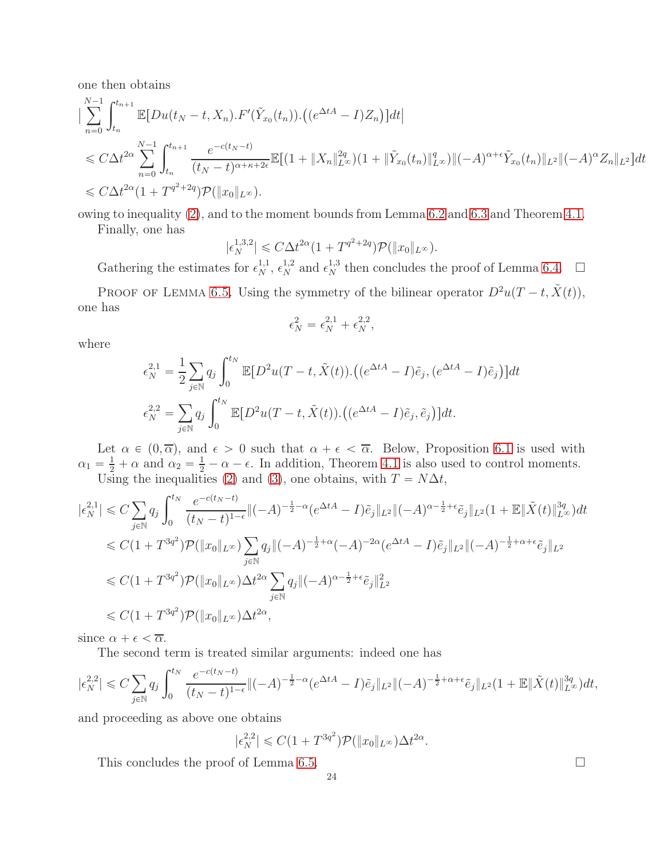one then obtains

$$
\begin{split}\n&\sum_{n=0}^{N-1} \int_{t_n}^{t_{n+1}} \mathbb{E}[Du(t_N-t, X_n) \cdot F'(\tilde{Y}_{x_0}(t_n)) \cdot ((e^{\Delta t A} - I)Z_n)]dt \\
&\leq C\Delta t^{2\alpha} \sum_{n=0}^{N-1} \int_{t_n}^{t_{n+1}} \frac{e^{-c(t_N-t)}}{(t_N-t)^{\alpha+\kappa+2\epsilon}} \mathbb{E}[(1 + \|X_n\|_{L^\infty}^{2q})(1 + \|\tilde{Y}_{x_0}(t_n)\|_{L^\infty}^{q})||(-A)^{\alpha+\epsilon}\tilde{Y}_{x_0}(t_n)||_{L^2}||(-A)^{\alpha}Z_n||_{L^2}]dt \\
&\leq C\Delta t^{2\alpha} (1 + T^{q^2+2q})\mathcal{P}(\|x_0\|_{L^\infty}).\n\end{split}
$$

owing to inequality [\(2\)](#page-3-3), and to the moment bounds from Lemma [6.2](#page-18-1) and [6.3](#page-19-1) and Theorem [4.1.](#page-9-0)

Finally, one has

$$
|\epsilon_N^{1,3,2}| \leq C\Delta t^{2\alpha} (1+T^{q^2+2q}) \mathcal{P}(\|x_0\|_{L^\infty}).
$$

Gathering the estimates for  $\epsilon_N^{1,1}$ ,  $\epsilon_N^{1,2}$  and  $\epsilon_N^{1,3}$  then concludes the proof of Lemma [6.4.](#page-20-0)  $\Box$ PROOF OF LEMMA [6.5.](#page-20-1) Using the symmetry of the bilinear operator  $D^2u(T-t, \tilde{X}(t)),$ 

one has

$$
\epsilon_N^2=\epsilon_N^{2,1}+\epsilon_N^{2,2},
$$

where

$$
\epsilon_N^{2,1} = \frac{1}{2} \sum_{j \in \mathbb{N}} q_j \int_0^{t_N} \mathbb{E}[D^2 u(T - t, \tilde{X}(t)) \cdot ((e^{\Delta t A} - I)\tilde{e}_j, (e^{\Delta t A} - I)\tilde{e}_j)] dt
$$
  

$$
\epsilon_N^{2,2} = \sum_{j \in \mathbb{N}} q_j \int_0^{t_N} \mathbb{E}[D^2 u(T - t, \tilde{X}(t)) \cdot ((e^{\Delta t A} - I)\tilde{e}_j, \tilde{e}_j)] dt.
$$

Let  $\alpha \in (0, \overline{\alpha})$ , and  $\epsilon > 0$  such that  $\alpha + \epsilon < \overline{\alpha}$ . Below, Proposition [6.1](#page-16-1) is used with  $\alpha_1 = \frac{1}{2} + \alpha$  and  $\alpha_2 = \frac{1}{2} - \alpha - \epsilon$ . In addition, Theorem [4.1](#page-9-0) is also used to control moments. Using the inequalities [\(2\)](#page-3-3) and [\(3\)](#page-3-2), one obtains, with  $T = N\Delta t$ ,

$$
\begin{split}\n|\epsilon_N^{2,1}| &\leq C \sum_{j\in\mathbb{N}} q_j \int_0^{t_N} \frac{e^{-c(t_N-t)}}{(t_N-t)^{1-\epsilon}} \|(-A)^{-\frac{1}{2}-\alpha} (e^{\Delta t A} - I) \tilde{e}_j \|_{L^2} \|(-A)^{\alpha - \frac{1}{2}+\epsilon} \tilde{e}_j \|_{L^2} (1 + \mathbb{E} \|\tilde{X}(t)\|_{L^\infty}^{3q}) dt \\
&\leq C(1+T^{3q^2}) \mathcal{P}(\|x_0\|_{L^\infty}) \sum_{j\in\mathbb{N}} q_j \|(-A)^{-\frac{1}{2}+\alpha} (-A)^{-2\alpha} (e^{\Delta t A} - I) \tilde{e}_j \|_{L^2} \|(-A)^{-\frac{1}{2}+\alpha + \epsilon} \tilde{e}_j \|_{L^2} \\
&\leq C(1+T^{3q^2}) \mathcal{P}(\|x_0\|_{L^\infty}) \Delta t^{2\alpha} \sum_{j\in\mathbb{N}} q_j \|(-A)^{\alpha - \frac{1}{2}+\epsilon} \tilde{e}_j \|_{L^2}^2 \\
&\leq C(1+T^{3q^2}) \mathcal{P}(\|x_0\|_{L^\infty}) \Delta t^{2\alpha},\n\end{split}
$$

since  $\alpha + \epsilon < \overline{\alpha}$ .

The second term is treated similar arguments: indeed one has

$$
|\epsilon_N^{2,2}| \leq C \sum_{j \in \mathbb{N}} q_j \int_0^{t_N} \frac{e^{-c(t_N - t)}}{(t_N - t)^{1 - \epsilon}} \|(-A)^{-\frac{1}{2} - \alpha} (e^{\Delta t A} - I) \tilde{e}_j \|_{L^2} \|(-A)^{-\frac{1}{2} + \alpha + \epsilon} \tilde{e}_j \|_{L^2} (1 + \mathbb{E} \|\tilde{X}(t)\|_{L^\infty}^{3q}) dt,
$$

and proceeding as above one obtains

$$
|\epsilon_N^{2,2}| \leq C(1+T^{3q^2})\mathcal{P}(\|x_0\|_{L^\infty})\Delta t^{2\alpha}.
$$

This concludes the proof of Lemma [6.5.](#page-20-1)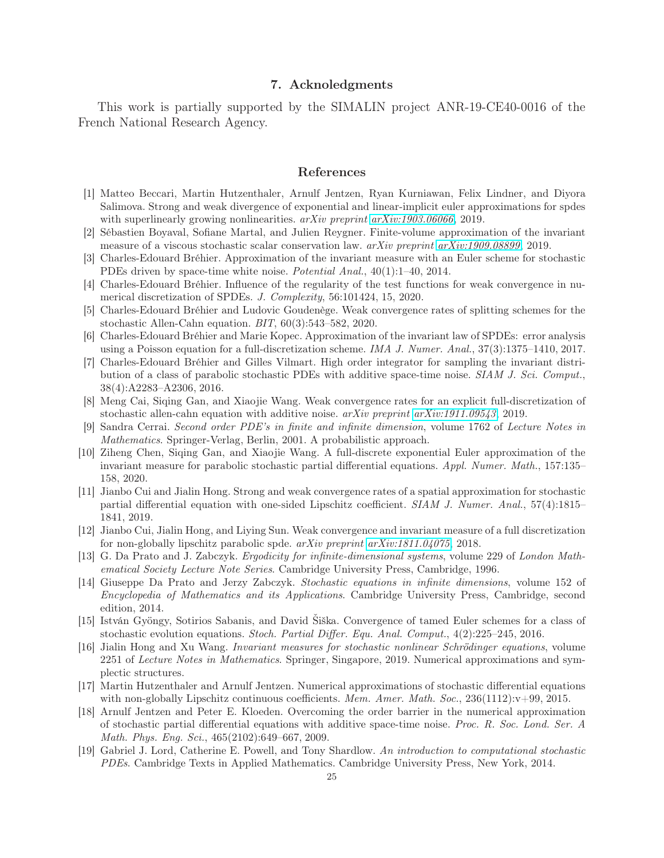## 7. Acknoledgments

This work is partially supported by the SIMALIN project ANR-19-CE40-0016 of the French National Research Agency.

## References

- <span id="page-24-12"></span>[1] Matteo Beccari, Martin Hutzenthaler, Arnulf Jentzen, Ryan Kurniawan, Felix Lindner, and Diyora Salimova. Strong and weak divergence of exponential and linear-implicit euler approximations for spdes with superlinearly growing nonlinearities. arXiv preprint [arXiv:1903.06066](http://arxiv.org/abs/1903.06066), 2019.
- <span id="page-24-4"></span><span id="page-24-2"></span>[2] Sébastien Boyaval, Sofiane Martal, and Julien Reygner. Finite-volume approximation of the invariant measure of a viscous stochastic scalar conservation law.  $arXiv$  preprint  $arXiv:1909.08899, 2019$ .
- [3] Charles-Edouard Bréhier. Approximation of the invariant measure with an Euler scheme for stochastic PDEs driven by space-time white noise. Potential Anal., 40(1):1–40, 2014.
- <span id="page-24-18"></span><span id="page-24-9"></span>[4] Charles-Edouard Bréhier. Influence of the regularity of the test functions for weak convergence in numerical discretization of SPDEs. J. Complexity, 56:101424, 15, 2020.
- [5] Charles-Edouard Bréhier and Ludovic Goudenège. Weak convergence rates of splitting schemes for the stochastic Allen-Cahn equation. BIT, 60(3):543–582, 2020.
- <span id="page-24-5"></span>[6] Charles-Edouard Bréhier and Marie Kopec. Approximation of the invariant law of SPDEs: error analysis using a Poisson equation for a full-discretization scheme. IMA J. Numer. Anal., 37(3):1375–1410, 2017.
- <span id="page-24-7"></span>[7] Charles-Edouard Bréhier and Gilles Vilmart. High order integrator for sampling the invariant distribution of a class of parabolic stochastic PDEs with additive space-time noise. SIAM J. Sci. Comput., 38(4):A2283–A2306, 2016.
- <span id="page-24-16"></span><span id="page-24-11"></span>[8] Meng Cai, Siqing Gan, and Xiaojie Wang. Weak convergence rates for an explicit full-discretization of stochastic allen-cahn equation with additive noise. arXiv preprint [arXiv:1911.09543](http://arxiv.org/abs/1911.09543), 2019.
- [9] Sandra Cerrai. Second order PDE's in finite and infinite dimension, volume 1762 of Lecture Notes in Mathematics. Springer-Verlag, Berlin, 2001. A probabilistic approach.
- <span id="page-24-6"></span>[10] Ziheng Chen, Siqing Gan, and Xiaojie Wang. A full-discrete exponential Euler approximation of the invariant measure for parabolic stochastic partial differential equations. Appl. Numer. Math., 157:135– 158, 2020.
- <span id="page-24-10"></span>[11] Jianbo Cui and Jialin Hong. Strong and weak convergence rates of a spatial approximation for stochastic partial differential equation with one-sided Lipschitz coefficient. SIAM J. Numer. Anal., 57(4):1815– 1841, 2019.
- <span id="page-24-17"></span><span id="page-24-8"></span>[12] Jianbo Cui, Jialin Hong, and Liying Sun. Weak convergence and invariant measure of a full discretization for non-globally lipschitz parabolic spde.  $arXiv$  preprint  $arXiv:1811.04075$ , 2018.
- [13] G. Da Prato and J. Zabczyk. Ergodicity for infinite-dimensional systems, volume 229 of London Mathematical Society Lecture Note Series. Cambridge University Press, Cambridge, 1996.
- <span id="page-24-1"></span>[14] Giuseppe Da Prato and Jerzy Zabczyk. Stochastic equations in infinite dimensions, volume 152 of Encyclopedia of Mathematics and its Applications. Cambridge University Press, Cambridge, second edition, 2014.
- <span id="page-24-15"></span>[15] István Gyöngy, Sotirios Sabanis, and David Šiška. Convergence of tamed Euler schemes for a class of stochastic evolution equations. Stoch. Partial Differ. Equ. Anal. Comput., 4(2):225–245, 2016.
- <span id="page-24-3"></span>[16] Jialin Hong and Xu Wang. Invariant measures for stochastic nonlinear Schrödinger equations, volume 2251 of Lecture Notes in Mathematics. Springer, Singapore, 2019. Numerical approximations and symplectic structures.
- <span id="page-24-13"></span>[17] Martin Hutzenthaler and Arnulf Jentzen. Numerical approximations of stochastic differential equations with non-globally Lipschitz continuous coefficients. Mem. Amer. Math. Soc.,  $236(1112):v+99, 2015$ .
- <span id="page-24-14"></span>[18] Arnulf Jentzen and Peter E. Kloeden. Overcoming the order barrier in the numerical approximation of stochastic partial differential equations with additive space-time noise. Proc. R. Soc. Lond. Ser. A Math. Phys. Eng. Sci., 465(2102):649–667, 2009.
- <span id="page-24-0"></span>[19] Gabriel J. Lord, Catherine E. Powell, and Tony Shardlow. An introduction to computational stochastic PDEs. Cambridge Texts in Applied Mathematics. Cambridge University Press, New York, 2014.